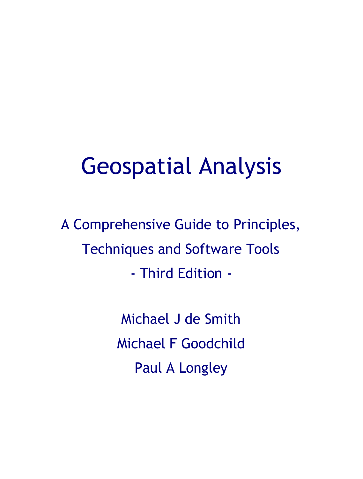# Geospatial Analysis

A Comprehensive Guide to Principles, Techniques and Software Tools - Third Edition -

> Michael J de Smith Michael F Goodchild Paul A Longley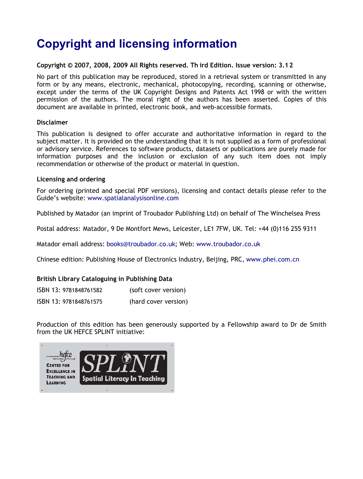# **Copyright and licensing information**

#### **Copyright © 2007, 2008, 2009 All Rights reserved. Th ird Edition. Issue version: 3.12**

No part of this publication may be reproduced, stored in a retrieval system or transmitted in any form or by any means, electronic, mechanical, photocopying, recording, scanning or otherwise, except under the terms of the UK Copyright Designs and Patents Act 1998 or with the written permission of the authors. The moral right of the authors has been asserted. Copies of this document are available in printed, electronic book, and web-accessible formats.

#### **Disclaimer**

This publication is designed to offer accurate and authoritative information in regard to the subject matter. It is provided on the understanding that it is not supplied as a form of professional or advisory service. References to software products, datasets or publications are purely made for information purposes and the inclusion or exclusion of any such item does not imply recommendation or otherwise of the product or material in question.

#### **Licensing and ordering**

For ordering (printed and special PDF versions), licensing and contact details please refer to the Guide's website[: www.spatialanalysisonline.com](http://www.spatialanalysisonline.com/)

Published by Matador (an imprint of Troubador Publishing Ltd) on behalf of The Winchelsea Press

Postal address: Matador, 9 De Montfort Mews, Leicester, LE1 7FW, UK. Tel: +44 (0)116 255 9311

Matador email address: [books@troubador.co.uk](mailto:books@troubador.co.uk); Web: [www.troubador.co.uk](http://www.troubador.co.uk/)

Chinese edition: Publishing House of Electronics Industry, Beijing, PRC, [www.phei.com.cn](http://www.phei.com.cn/)

#### **British Library Cataloguing in Publishing Data**

| ISBN 13: 9781848761582 | (soft cover version) |
|------------------------|----------------------|
| ISBN 13: 9781848761575 | (hard cover version) |

Production of this edition has been generously supported by a Fellowship award to Dr de Smith from the UK HEFCE SPLINT initiative:

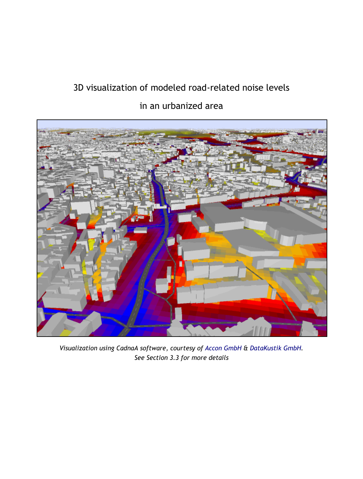### 3D visualization of modeled road-related noise levels

in an urbanized area



*Visualization using CadnaA software, courtesy o[f Accon GmbH](http://www.accon.de/html_e/accon.html) & [DataKustik GmbH.](http://www.datakustik.com/en/products/cadnaa) See Section 3.3 for more details*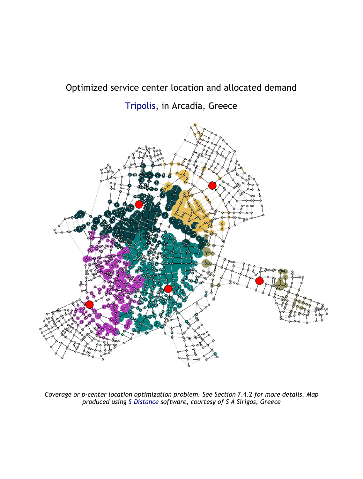### Optimized service center location and allocated demand

[Tripolis,](http://maps.google.co.uk/maps?f=q&source=s_q&hl=en&geocode=&q=tripolis+greece&sll=53.800651,-4.064941&sspn=18.441137,39.550781&ie=UTF8&z=12) in Arcadia, Greece



*Coverage or p-center location optimization problem. See Section* 7.4.2 *for more details. Map produced usin[g S-Distance](http://www.prd.uth.gr/res_labs/spatial_analysis/software/SdHome_en.asp) software, courtesy of S A Sirigos, Greece*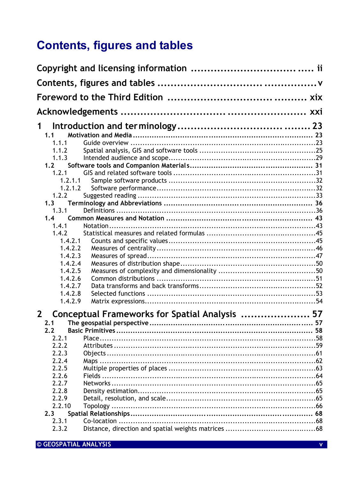# **Contents, figures and tables**

| $\mathbf 1$     |                                                |  |
|-----------------|------------------------------------------------|--|
| 1.1             |                                                |  |
| 1.1.1           |                                                |  |
| 1.1.2           |                                                |  |
| 1.1.3           |                                                |  |
| 1.2             |                                                |  |
| 1.2.1           |                                                |  |
| 1.2.1.1         |                                                |  |
| 1, 2, 1, 2      |                                                |  |
| 1.2.2           |                                                |  |
| 1.3             |                                                |  |
| 1.3.1           |                                                |  |
| 1.4             |                                                |  |
| 1.4.1           |                                                |  |
| 1.4.2           |                                                |  |
| 1, 4, 2, 1      |                                                |  |
| 1.4.2.2         |                                                |  |
| 1.4.2.3         |                                                |  |
| 1.4.2.4         |                                                |  |
| 1.4.2.5         |                                                |  |
| 1.4.2.6         |                                                |  |
| 1.4.2.7         |                                                |  |
| 1.4.2.8         |                                                |  |
| 1.4.2.9         |                                                |  |
| $2\overline{ }$ | Conceptual Frameworks for Spatial Analysis  57 |  |
| 2.1             |                                                |  |
| 2.2             |                                                |  |
| 2.2.1           |                                                |  |
| 2.2.2           |                                                |  |
|                 | 2.2.3 Objects                                  |  |
| 2.2.4           |                                                |  |
| 2.2.5           |                                                |  |
| 2.2.6           |                                                |  |
| 2.2.7           |                                                |  |
| 2.2.8           |                                                |  |
| 2.2.9           |                                                |  |
| 2.2.10          |                                                |  |
| 2.3<br>2.3.1    |                                                |  |
| 2.3.2           |                                                |  |
|                 |                                                |  |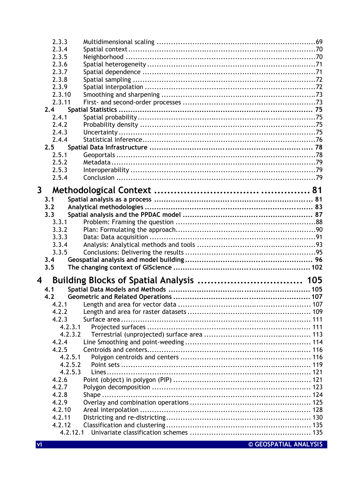| 2.3.3              |  |
|--------------------|--|
| 2.3.4              |  |
| 2.3.5              |  |
| 2.3.6              |  |
| 2.3.7              |  |
| 2.3.8              |  |
| 2.3.9              |  |
| 2.3.10             |  |
| 2.3.11             |  |
| 2.4                |  |
| 2.4.1              |  |
| 2.4.2              |  |
| 2.4.3              |  |
| 2.4.4              |  |
| 2.5                |  |
| 2.5.1              |  |
| 2.5.2              |  |
| 2.5.3              |  |
| 2.5.4              |  |
|                    |  |
| $\mathbf{3}$       |  |
| 3.1                |  |
| 3.2                |  |
| 3.3                |  |
| 3.3.1              |  |
| 3.3.2              |  |
|                    |  |
| 3.3.3              |  |
| 3.3.4              |  |
| 3.3.5              |  |
| 3.4                |  |
| 3.5                |  |
|                    |  |
| 4                  |  |
| 4.1                |  |
| 4.2                |  |
| 4.2.1              |  |
| 4.2.2              |  |
| 4.2.3              |  |
| 4.2.3.1            |  |
| 4.2.3.2            |  |
| 4.2.4              |  |
| 4.2.5              |  |
| 4.2.5.1            |  |
| 4.2.5.2            |  |
| 4.2.5.3            |  |
| 4.2.6              |  |
| 4.2.7              |  |
| 4.2.8              |  |
| 4.2.9              |  |
| 4.2.10             |  |
| 4.2.11             |  |
| 4.2.12<br>4.2.12.1 |  |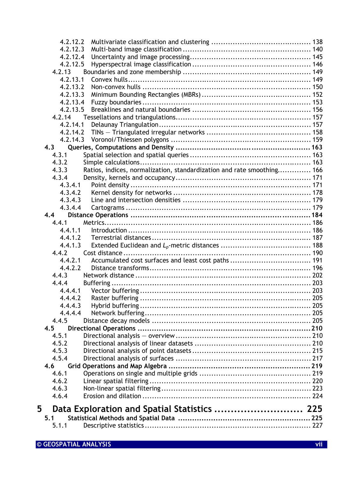| 4.2.12.2   |                                                                        |  |
|------------|------------------------------------------------------------------------|--|
| 4.2.12.3   |                                                                        |  |
| 4.2.12.4   |                                                                        |  |
| 4.2.12.5   |                                                                        |  |
| 4.2.13     |                                                                        |  |
|            |                                                                        |  |
| 4.2.13.2   |                                                                        |  |
| 4.2.13.3   |                                                                        |  |
| 4.2.13.4   |                                                                        |  |
| 4.2.13.5   |                                                                        |  |
| 4.2.14     |                                                                        |  |
| 4.2.14.1   |                                                                        |  |
| 4.2.14.2   |                                                                        |  |
|            |                                                                        |  |
| 4.3        |                                                                        |  |
| 4.3.1      |                                                                        |  |
| 4.3.2      |                                                                        |  |
| 4.3.3      | Ratios, indices, normalization, standardization and rate smoothing 166 |  |
| 4.3.4      |                                                                        |  |
| 4.3.4.1    |                                                                        |  |
| 4.3.4.2    |                                                                        |  |
| 4.3.4.3    |                                                                        |  |
| 4.3.4.4    |                                                                        |  |
| 4.4        |                                                                        |  |
| 4.4.1      |                                                                        |  |
| 4, 4, 1, 1 |                                                                        |  |
| 4.4.1.2    |                                                                        |  |
| 4.4.1.3    |                                                                        |  |
| 4.4.2      |                                                                        |  |
| 4.4.2.1    |                                                                        |  |
|            |                                                                        |  |
| 4.4.2.2    |                                                                        |  |
| 4.4.3      |                                                                        |  |
| 4.4.4      |                                                                        |  |
| 4.4.4.1    |                                                                        |  |
| 4.4.4.2    |                                                                        |  |
| 4.4.4.3    |                                                                        |  |
| 4.4.4.4    |                                                                        |  |
| 4.4.5      |                                                                        |  |
|            |                                                                        |  |
| 4.5.1      |                                                                        |  |
| 4.5.2      |                                                                        |  |
| 4.5.3      |                                                                        |  |
| 4.5.4      |                                                                        |  |
| 4.6        |                                                                        |  |
| 4.6.1      |                                                                        |  |
| 4.6.2      |                                                                        |  |
| 4.6.3      |                                                                        |  |
| 4.6.4      |                                                                        |  |
|            |                                                                        |  |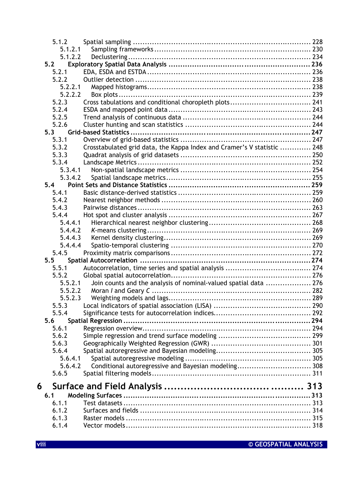| 5.1.2   |                                                                         |  |
|---------|-------------------------------------------------------------------------|--|
| 5.1.2.1 |                                                                         |  |
| 5.1.2.2 |                                                                         |  |
| 5.2     |                                                                         |  |
| 5.2.1   |                                                                         |  |
| 5.2.2   |                                                                         |  |
| 5.2.2.1 |                                                                         |  |
| 5.2.2.2 |                                                                         |  |
| 5.2.3   |                                                                         |  |
| 5.2.4   |                                                                         |  |
| 5.2.5   |                                                                         |  |
| 5.2.6   |                                                                         |  |
| 5.3     |                                                                         |  |
| 5.3.1   |                                                                         |  |
| 5.3.2   | Crosstabulated grid data, the Kappa Index and Cramer's V statistic  248 |  |
| 5.3.3   |                                                                         |  |
| 5.3.4   |                                                                         |  |
| 5.3.4.1 |                                                                         |  |
| 5.3.4.2 |                                                                         |  |
| 5.4     |                                                                         |  |
| 5.4.1   |                                                                         |  |
| 5.4.2   |                                                                         |  |
|         |                                                                         |  |
| 5.4.3   |                                                                         |  |
| 5.4.4   |                                                                         |  |
| 5.4.4.1 |                                                                         |  |
| 5.4.4.2 |                                                                         |  |
| 5.4.4.3 |                                                                         |  |
| 5.4.4.4 |                                                                         |  |
| 5.4.5   |                                                                         |  |
| 5.5     |                                                                         |  |
| 5.5.1   |                                                                         |  |
| 5.5.2   |                                                                         |  |
| 5.5.2.1 | Join counts and the analysis of nominal-valued spatial data  276        |  |
| 5.5.2.2 |                                                                         |  |
| 5.5.2.3 |                                                                         |  |
| 5.5.3   |                                                                         |  |
| 5.5.4   |                                                                         |  |
| 5.6     |                                                                         |  |
|         |                                                                         |  |
| 5.6.2   |                                                                         |  |
| 5.6.3   |                                                                         |  |
| 5.6.4   |                                                                         |  |
| 5.6.4.1 |                                                                         |  |
| 5.6.4.2 |                                                                         |  |
| 5.6.5   |                                                                         |  |
|         |                                                                         |  |
| 6       |                                                                         |  |
| 6.1     |                                                                         |  |
| 6.1.1   |                                                                         |  |
| 6.1.2   |                                                                         |  |
| 6.1.3   |                                                                         |  |
| 6.1.4   |                                                                         |  |
|         |                                                                         |  |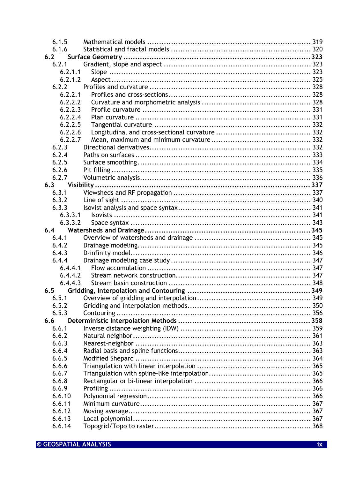| 6.1.5      |  |
|------------|--|
| 6.1.6      |  |
| 6.2        |  |
| 6.2.1      |  |
| 6.2.1.1    |  |
| 6.2.1.2    |  |
| 6.2.2      |  |
| 6.2.2.1    |  |
| 6.2.2.2    |  |
| 6.2.2.3    |  |
| 6.2.2.4    |  |
| 6.2.2.5    |  |
| 6.2.2.6    |  |
| 6.2.2.7    |  |
| 6.2.3      |  |
| 6.2.4      |  |
| 6.2.5      |  |
| 6.2.6      |  |
| 6.2.7      |  |
| 6.3        |  |
| 6.3.1      |  |
| 6.3.2      |  |
| 6.3.3      |  |
| 6, 3, 3, 1 |  |
| 6.3.3.2    |  |
| 6.4        |  |
| 6.4.1      |  |
| 6.4.2      |  |
| 6.4.3      |  |
| 6.4.4      |  |
| 6.4.4.1    |  |
| 6, 4, 4, 2 |  |
| 6.4.4.3    |  |
|            |  |
| 6.5.1      |  |
| 6.5.2      |  |
| 6.5.3      |  |
| 6.6        |  |
|            |  |
| 6.6.2      |  |
| 6.6.3      |  |
| 6.6.4      |  |
| 6.6.5      |  |
| 6.6.6      |  |
| 6.6.7      |  |
| 6.6.8      |  |
| 6.6.9      |  |
| 6.6.10     |  |
| 6.6.11     |  |
| 6.6.12     |  |
| 6.6.13     |  |
| 6.6.14     |  |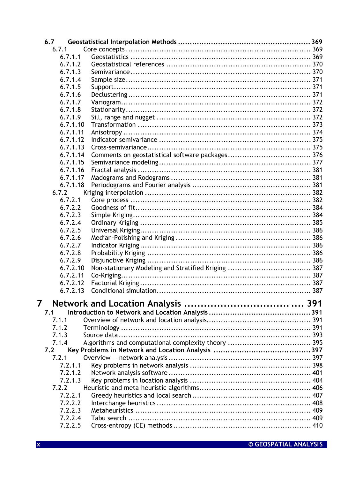| 6.7          |  |
|--------------|--|
| 6.7.1        |  |
| 6.7.1.1      |  |
| 6.7.1.2      |  |
| 6.7.1.3      |  |
| 6.7.1.4      |  |
| 6.7.1.5      |  |
| 6.7.1.6      |  |
| 6.7.1.7      |  |
| 6.7.1.8      |  |
| 6.7.1.9      |  |
| 6.7.1.10     |  |
| 6.7.1.11     |  |
| 6.7.1.12     |  |
| 6.7.1.13     |  |
| 6.7.1.14     |  |
| 6.7.1.15     |  |
| 6.7.1.16     |  |
| 6.7.1.17     |  |
| 6.7.1.18     |  |
| 6.7.2        |  |
| 6.7.2.1      |  |
| 6.7.2.2      |  |
| 6.7.2.3      |  |
| 6.7.2.4      |  |
| 6.7.2.5      |  |
| 6.7.2.6      |  |
| 6.7.2.7      |  |
| 6.7.2.8      |  |
| 6.7.2.9      |  |
| 6.7.2.10     |  |
| 6.7.2.11     |  |
| 6.7.2.12     |  |
| 6.7.2.13     |  |
| $\mathbf{7}$ |  |
|              |  |
| 7.1<br>7.1.1 |  |
|              |  |
| 7.1.3        |  |
| 7.1.4        |  |
| 7.2          |  |
| 7.2.1        |  |
| 7.2.1.1      |  |
| 7.2.1.2      |  |
| 7.2.1.3      |  |
| 7.2.2        |  |
| 7.2.2.1      |  |
| 7.2.2.2      |  |
| 7.2.2.3      |  |
| 7.2.2.4      |  |
|              |  |
| 7.2.2.5      |  |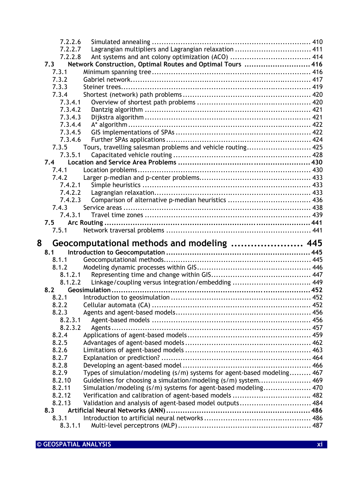| 7.2.2.6                 |                                                                         |
|-------------------------|-------------------------------------------------------------------------|
| 7.2.2.7                 | Lagrangian multipliers and Lagrangian relaxation  411                   |
| 7.2.2.8                 |                                                                         |
| 7.3                     | Network Construction, Optimal Routes and Optimal Tours  416             |
| 7.3.1                   |                                                                         |
| 7.3.2                   |                                                                         |
| 7.3.3                   |                                                                         |
| 7.3.4                   |                                                                         |
| 7.3.4.1                 |                                                                         |
| 7.3.4.2                 |                                                                         |
|                         |                                                                         |
| 7.3.4.3                 |                                                                         |
| 7.3.4.4                 |                                                                         |
| 7.3.4.5                 |                                                                         |
| 7.3.4.6                 |                                                                         |
| 7.3.5                   | Tours, travelling salesman problems and vehicle routing 425             |
| 7.3.5.1                 |                                                                         |
| 7.4                     |                                                                         |
| 7.4.1                   |                                                                         |
| 7.4.2                   |                                                                         |
| 7.4.2.1                 |                                                                         |
| 7.4.2.2                 |                                                                         |
| 7.4.2.3                 |                                                                         |
| 7.4.3                   |                                                                         |
| 7.4.3.1                 |                                                                         |
| 7.5                     |                                                                         |
|                         |                                                                         |
| 7.5.1                   |                                                                         |
|                         | Geocomputational methods and modeling  445                              |
| 8.1.1                   |                                                                         |
| 8.1.2                   |                                                                         |
| 8.1.2.1                 |                                                                         |
| 8.1.2.2                 | Linkage/coupling versus integration/embedding  449                      |
|                         |                                                                         |
| 8.2.1                   |                                                                         |
| 8.2.2                   |                                                                         |
| 8.2.3                   |                                                                         |
| 8.2.3.1                 |                                                                         |
|                         |                                                                         |
| 8.2.4                   |                                                                         |
| 8.2.5                   |                                                                         |
|                         |                                                                         |
| 8.2.6                   |                                                                         |
| 8.2.7                   |                                                                         |
| 8.2.8                   |                                                                         |
| 8.1<br>8.2<br>8.2.9     | Types of simulation/modeling (s/m) systems for agent-based modeling 467 |
| 8.2.10                  | Guidelines for choosing a simulation/modeling (s/m) system 469          |
| 8.2.11                  | Simulation/modeling (s/m) systems for agent-based modeling 470          |
| 8.2.12                  |                                                                         |
| 8.2.13                  | Validation and analysis of agent-based model outputs 484                |
|                         |                                                                         |
| 8.3<br>8.3.1<br>8.3.1.1 |                                                                         |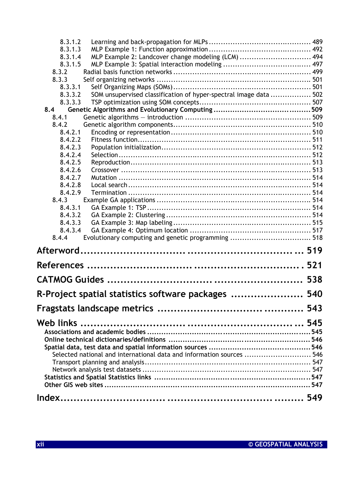| 8.3.1.2 |                                                                       |  |
|---------|-----------------------------------------------------------------------|--|
| 8.3.1.3 |                                                                       |  |
| 8.3.1.4 | MLP Example 2: Landcover change modeling (LCM)  494                   |  |
| 8.3.1.5 |                                                                       |  |
| 8.3.2   |                                                                       |  |
| 8.3.3   |                                                                       |  |
| 8.3.3.1 |                                                                       |  |
| 8.3.3.2 | SOM unsupervised classification of hyper-spectral image data  502     |  |
| 8.3.3.3 |                                                                       |  |
| 8.4     |                                                                       |  |
| 8.4.1   |                                                                       |  |
| 8.4.2   |                                                                       |  |
| 8.4.2.1 |                                                                       |  |
| 8.4.2.2 |                                                                       |  |
| 8.4.2.3 |                                                                       |  |
| 8.4.2.4 |                                                                       |  |
| 8.4.2.5 |                                                                       |  |
| 8.4.2.6 |                                                                       |  |
| 8.4.2.7 |                                                                       |  |
| 8.4.2.8 |                                                                       |  |
| 8.4.2.9 |                                                                       |  |
| 8.4.3   |                                                                       |  |
| 8.4.3.1 |                                                                       |  |
| 8.4.3.2 |                                                                       |  |
| 8.4.3.3 |                                                                       |  |
| 8.4.3.4 |                                                                       |  |
| 8.4.4   |                                                                       |  |
|         |                                                                       |  |
|         |                                                                       |  |
|         |                                                                       |  |
|         |                                                                       |  |
|         |                                                                       |  |
|         |                                                                       |  |
|         | R-Project spatial statistics software packages  540                   |  |
|         |                                                                       |  |
|         |                                                                       |  |
|         |                                                                       |  |
|         |                                                                       |  |
|         |                                                                       |  |
|         |                                                                       |  |
|         | Selected national and international data and information sources  546 |  |
|         |                                                                       |  |
|         |                                                                       |  |
|         |                                                                       |  |
|         |                                                                       |  |
|         |                                                                       |  |
|         |                                                                       |  |
|         |                                                                       |  |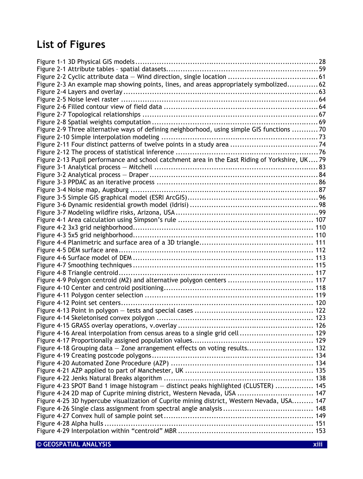# **List of Figures**

| Figure 2-3 An example map showing points, lines, and areas appropriately symbolized 62         |  |
|------------------------------------------------------------------------------------------------|--|
|                                                                                                |  |
|                                                                                                |  |
|                                                                                                |  |
|                                                                                                |  |
|                                                                                                |  |
| Figure 2-9 Three alternative ways of defining neighborhood, using simple GIS functions 70      |  |
|                                                                                                |  |
|                                                                                                |  |
|                                                                                                |  |
| Figure 2-13 Pupil performance and school catchment area in the East Riding of Yorkshire, UK 79 |  |
|                                                                                                |  |
|                                                                                                |  |
|                                                                                                |  |
|                                                                                                |  |
|                                                                                                |  |
|                                                                                                |  |
|                                                                                                |  |
|                                                                                                |  |
|                                                                                                |  |
|                                                                                                |  |
|                                                                                                |  |
|                                                                                                |  |
|                                                                                                |  |
|                                                                                                |  |
|                                                                                                |  |
|                                                                                                |  |
| Figure 4-9 Polygon centroid (M2) and alternative polygon centers  117                          |  |
|                                                                                                |  |
|                                                                                                |  |
|                                                                                                |  |
|                                                                                                |  |
|                                                                                                |  |
|                                                                                                |  |
| Figure 4-16 Areal interpolation from census areas to a single grid cell  129                   |  |
|                                                                                                |  |
| Figure 4-18 Grouping data - Zone arrangement effects on voting results 132                     |  |
|                                                                                                |  |
|                                                                                                |  |
|                                                                                                |  |
|                                                                                                |  |
| Figure 4-23 SPOT Band 1 image histogram - distinct peaks highlighted (CLUSTER)  145            |  |
| Figure 4-24 2D map of Cuprite mining district, Western Nevada, USA  147                        |  |
| Figure 4-25 3D hypercube visualization of Cuprite mining district, Western Nevada, USA 147     |  |
|                                                                                                |  |
|                                                                                                |  |
|                                                                                                |  |
|                                                                                                |  |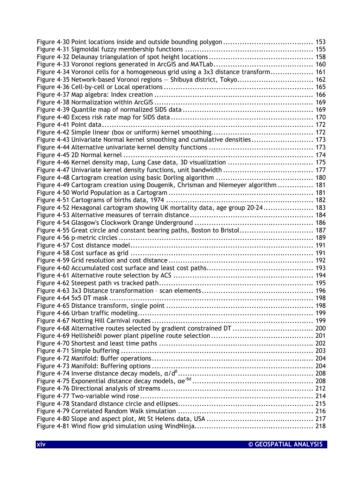| Figure 4-34 Voronoi cells for a homogeneous grid using a 3x3 distance transform 161 |  |
|-------------------------------------------------------------------------------------|--|
| Figure 4-35 Network-based Voronoi regions - Shibuya district, Tokyo 162             |  |
|                                                                                     |  |
|                                                                                     |  |
|                                                                                     |  |
|                                                                                     |  |
|                                                                                     |  |
|                                                                                     |  |
|                                                                                     |  |
| Figure 4-43 Univariate Normal kernel smoothing and cumulative densities 173         |  |
|                                                                                     |  |
|                                                                                     |  |
| Figure 4-46 Kernel density map, Lung Case data, 3D visualization  175               |  |
|                                                                                     |  |
|                                                                                     |  |
| Figure 4-49 Cartogram creation using Dougenik, Chrisman and Niemeyer algorithm  181 |  |
|                                                                                     |  |
|                                                                                     |  |
| Figure 4-52 Hexagonal cartogram showing UK mortality data, age group 20-24 183      |  |
|                                                                                     |  |
|                                                                                     |  |
| Figure 4-55 Great circle and constant bearing paths, Boston to Bristol 187          |  |
|                                                                                     |  |
|                                                                                     |  |
|                                                                                     |  |
|                                                                                     |  |
|                                                                                     |  |
|                                                                                     |  |
|                                                                                     |  |
|                                                                                     |  |
|                                                                                     |  |
|                                                                                     |  |
|                                                                                     |  |
|                                                                                     |  |
|                                                                                     |  |
| Figure 4-68 Alternative routes selected by gradient constrained DT  200             |  |
|                                                                                     |  |
|                                                                                     |  |
|                                                                                     |  |
|                                                                                     |  |
|                                                                                     |  |
|                                                                                     |  |
|                                                                                     |  |
|                                                                                     |  |
|                                                                                     |  |
|                                                                                     |  |
|                                                                                     |  |
|                                                                                     |  |
|                                                                                     |  |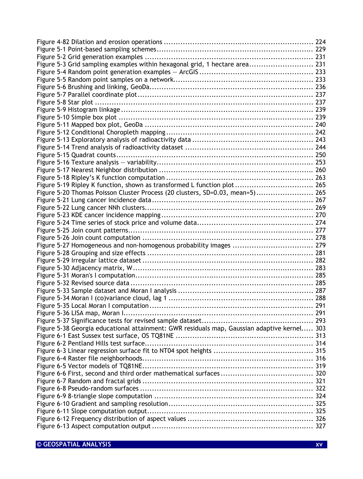| Figure 5-3 Grid sampling examples within hexagonal grid, 1 hectare area 231                 |  |
|---------------------------------------------------------------------------------------------|--|
|                                                                                             |  |
|                                                                                             |  |
|                                                                                             |  |
|                                                                                             |  |
|                                                                                             |  |
|                                                                                             |  |
|                                                                                             |  |
|                                                                                             |  |
|                                                                                             |  |
|                                                                                             |  |
|                                                                                             |  |
|                                                                                             |  |
|                                                                                             |  |
|                                                                                             |  |
|                                                                                             |  |
| Figure 5-19 Ripley K function, shown as transformed L function plot  265                    |  |
| Figure 5-20 Thomas Poisson Cluster Process (20 clusters, SD=0.03, mean=5) 265               |  |
|                                                                                             |  |
|                                                                                             |  |
|                                                                                             |  |
|                                                                                             |  |
|                                                                                             |  |
|                                                                                             |  |
| Figure 5-27 Homogeneous and non-homogenous probability images  279                          |  |
|                                                                                             |  |
|                                                                                             |  |
|                                                                                             |  |
|                                                                                             |  |
|                                                                                             |  |
|                                                                                             |  |
|                                                                                             |  |
|                                                                                             |  |
|                                                                                             |  |
|                                                                                             |  |
|                                                                                             |  |
| Figure 5-38 Georgia educational attainment: GWR residuals map, Gaussian adaptive kernel 303 |  |
|                                                                                             |  |
|                                                                                             |  |
|                                                                                             |  |
|                                                                                             |  |
|                                                                                             |  |
|                                                                                             |  |
|                                                                                             |  |
|                                                                                             |  |
|                                                                                             |  |
|                                                                                             |  |
|                                                                                             |  |
|                                                                                             |  |
|                                                                                             |  |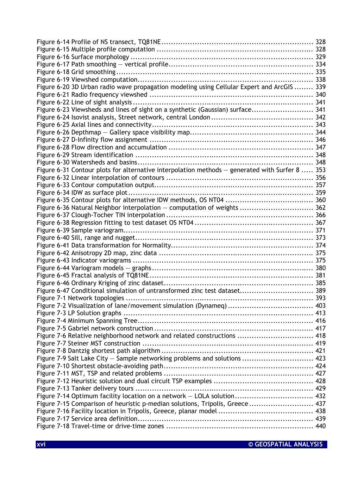| Figure 6-20 3D Urban radio wave propagation modeling using Cellular Expert and ArcGIS  339     |  |
|------------------------------------------------------------------------------------------------|--|
|                                                                                                |  |
|                                                                                                |  |
| Figure 6-23 Viewsheds and lines of sight on a synthetic (Gaussian) surface 341                 |  |
|                                                                                                |  |
|                                                                                                |  |
|                                                                                                |  |
|                                                                                                |  |
|                                                                                                |  |
|                                                                                                |  |
|                                                                                                |  |
|                                                                                                |  |
| Figure 6-31 Contour plots for alternative interpolation methods - generated with Surfer 8  353 |  |
|                                                                                                |  |
|                                                                                                |  |
|                                                                                                |  |
|                                                                                                |  |
| Figure 6-36 Natural Neighbor interpolation - computation of weights  362                       |  |
|                                                                                                |  |
|                                                                                                |  |
|                                                                                                |  |
|                                                                                                |  |
|                                                                                                |  |
|                                                                                                |  |
|                                                                                                |  |
|                                                                                                |  |
|                                                                                                |  |
|                                                                                                |  |
| Figure 6-47 Conditional simulation of untransformed zinc test dataset 389                      |  |
|                                                                                                |  |
|                                                                                                |  |
|                                                                                                |  |
|                                                                                                |  |
|                                                                                                |  |
| Figure 7-6 Relative neighborhood network and related constructions  418                        |  |
|                                                                                                |  |
|                                                                                                |  |
| Figure 7-9 Salt Lake City - Sample networking problems and solutions  423                      |  |
|                                                                                                |  |
|                                                                                                |  |
|                                                                                                |  |
|                                                                                                |  |
| Figure 7-14 Optimum facility location on a network - LOLA solution 432                         |  |
|                                                                                                |  |
| Figure 7-15 Comparison of heuristic p-median solutions, Tripolis, Greece 437                   |  |
|                                                                                                |  |
|                                                                                                |  |
|                                                                                                |  |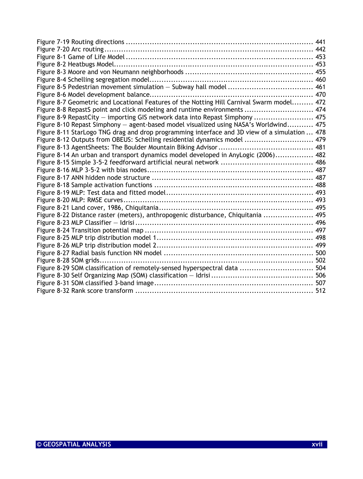| Figure 8-7 Geometric and Locational Features of the Notting Hill Carnival Swarm model 472     |  |
|-----------------------------------------------------------------------------------------------|--|
| Figure 8-8 RepastS point and click modeling and runtime environments  474                     |  |
| Figure 8-9 RepastCity - importing GIS network data into Repast Simphony  475                  |  |
| Figure 8-10 Repast Simphony - agent-based model visualized using NASA's Worldwind 475         |  |
| Figure 8-11 StarLogo TNG drag and drop programming interface and 3D view of a simulation  478 |  |
| Figure 8-12 Outputs from OBEUS: Schelling residential dynamics model  479                     |  |
|                                                                                               |  |
| Figure 8-14 An urban and transport dynamics model developed in AnyLogic (2006) 482            |  |
|                                                                                               |  |
|                                                                                               |  |
|                                                                                               |  |
|                                                                                               |  |
|                                                                                               |  |
|                                                                                               |  |
|                                                                                               |  |
| Figure 8-22 Distance raster (meters), anthropogenic disturbance, Chiquitania  495             |  |
|                                                                                               |  |
|                                                                                               |  |
|                                                                                               |  |
|                                                                                               |  |
|                                                                                               |  |
|                                                                                               |  |
| Figure 8-29 SOM classification of remotely-sensed hyperspectral data  504                     |  |
|                                                                                               |  |
|                                                                                               |  |
|                                                                                               |  |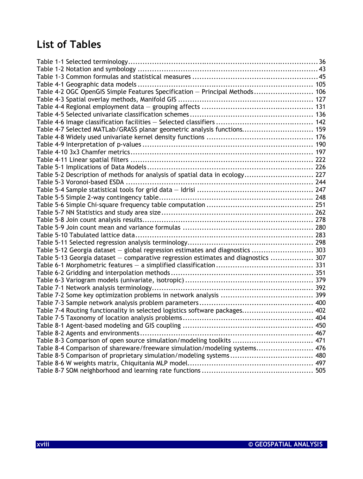### **List of Tables**

| Table 4-2 OGC OpenGIS Simple Features Specification - Principal Methods 106        |  |
|------------------------------------------------------------------------------------|--|
|                                                                                    |  |
|                                                                                    |  |
|                                                                                    |  |
|                                                                                    |  |
| Table 4-7 Selected MATLab/GRASS planar geometric analysis functions 159            |  |
|                                                                                    |  |
|                                                                                    |  |
|                                                                                    |  |
|                                                                                    |  |
|                                                                                    |  |
| Table 5-2 Description of methods for analysis of spatial data in ecology 227       |  |
|                                                                                    |  |
|                                                                                    |  |
|                                                                                    |  |
|                                                                                    |  |
|                                                                                    |  |
|                                                                                    |  |
|                                                                                    |  |
|                                                                                    |  |
|                                                                                    |  |
| Table 5-12 Georgia dataset – global regression estimates and diagnostics  303      |  |
| Table 5-13 Georgia dataset - comparative regression estimates and diagnostics  307 |  |
|                                                                                    |  |
|                                                                                    |  |
|                                                                                    |  |
|                                                                                    |  |
|                                                                                    |  |
|                                                                                    |  |
| Table 7-4 Routing functionality in selected logistics software packages 402        |  |
|                                                                                    |  |
|                                                                                    |  |
|                                                                                    |  |
| Table 8-3 Comparison of open source simulation/modeling toolkits  471              |  |
| Table 8-4 Comparison of shareware/freeware simulation/modeling systems 476         |  |
|                                                                                    |  |
|                                                                                    |  |
|                                                                                    |  |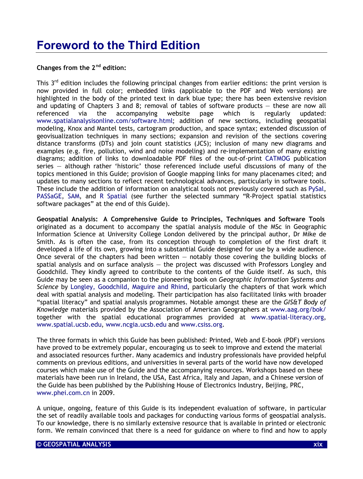# **Foreword to the Third Edition**

#### **Changes from the 2nd edition:**

This  $3<sup>rd</sup>$  edition includes the following principal changes from earlier editions: the print version is now provided in full color; embedded links (applicable to the PDF and Web versions) are highlighted in the body of the printed text in dark blue type; there has been extensive revision and updating of Chapters 3 and 8; removal of tables of software products — these are now all referenced via the accompanying website page which is regularly updated: [www.spatialanalysisonline.com/software.html;](http://www.spatialanalysisonline.com/software.html) addition of new sections, including geospatial modeling, Knox and Mantel tests, cartogram production, and space syntax; extended discussion of geovisualization techniques in many sections; expansion and revision of the sections covering distance transforms (DTs) and join count statistics (JCS); inclusion of many new diagrams and examples (e.g. fire, pollution, wind and noise modeling) and re-implementation of many existing diagrams; addition of links to downloadable PDF files of the out-of-print [CATMOG](http://www.qmrg.org.uk/?page_id=141) publication series — although rather 'historic' those referenced include useful discussions of many of the topics mentioned in this Guide; provision of Google mapping links for many placenames cited; and updates to many sections to reflect recent technological advances, particularly in software tools. These include the addition of information on analytical tools not previously covered such as [PySal](http://geodacenter.asu.edu/pysal), [PASSaGE,](http://www.passagesoftware.net/) [SAM,](http://www.ecoevol.ufg.br/sam/) and [R Spatial](http://cran.r-project.org/web/views/Spatial.html) (see further the selected summary "R-Project spatial statistics software packages" at the end of this Guide).

**Geospatial Analysis: A Comprehensive Guide to Principles, Techniques and Software Tools** originated as a document to accompany the spatial analysis module of the MSc in Geographic Information Science at University College London delivered by the principal author, Dr Mike de Smith. As is often the case, from its conception through to completion of the first draft it developed a life of its own, growing into a substantial Guide designed for use by a wide audience. Once several of the chapters had been written  $-$  notably those covering the building blocks of spatial analysis and on surface analysis  $-$  the project was discussed with Professors Longley and Goodchild. They kindly agreed to contribute to the contents of the Guide itself. As such, this Guide may be seen as a companion to the pioneering book on *Geographic Information Systems and Science* by [Longley, Goodchild, Maguire and Rhind,](http://eu.wiley.com/WileyCDA/WileyTitle/productCd-047087001X.html) particularly the chapters of that work which deal with spatial analysis and modeling. Their participation has also facilitated links with broader "spatial literacy" and spatial analysis programmes. Notable amongst these are the *GIS&T Body of Knowledge* materials provided by the Association of American Geographers at [www.aag.org/bok/](http://www.aag.org/bok/) together with the spatial educational programmes provided at [www.spatial-literacy.org,](http://www.spatial-literacy.org/) www.spatial.ucsb.edu, www.ncgia.ucsb.edu and [www.csiss.org.](http://www.csiss.org/)<br>The three formats in which this Guide has been published: Printed, Web and

have proved to be extremely popular, encouraging us to seek to improve and extend the material and associated resources further. Many academics and industry professionals have provided helpful comments on previous editions, and universities in several parts of the world have now developed courses which make use of the Guide and the accompanying resources. Workshops based on these materials have been run in Ireland, the USA, East Africa, Italy and Japan, and a Chinese version of the Guide has been published by the Publishing House of Electronics Industry, Beijing, PRC, [www.phei.com.cn](http://www.phei.com.cn/) in 2009.

A unique, ongoing, feature of this Guide is its independent evaluation of software, in particular the set of readily available tools and packages for conducting various forms of geospatial analysis. To our knowledge, there is no similarly extensive resource that is available in printed or electronic form. We remain convinced that there is a need for guidance on where to find and how to apply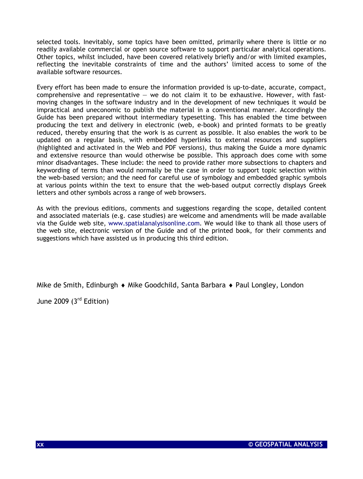selected tools. Inevitably, some topics have been omitted, primarily where there is little or no readily available commercial or open source software to support particular analytical operations. Other topics, whilst included, have been covered relatively briefly and/or with limited examples, reflecting the inevitable constraints of time and the authors' limited access to some of the available software resources.

Every effort has been made to ensure the information provided is up-to-date, accurate, compact, comprehensive and representative  $-$  we do not claim it to be exhaustive. However, with fastmoving changes in the software industry and in the development of new techniques it would be impractical and uneconomic to publish the material in a conventional manner. Accordingly the Guide has been prepared without intermediary typesetting. This has enabled the time between producing the text and delivery in electronic (web, e-book) and printed formats to be greatly reduced, thereby ensuring that the work is as current as possible. It also enables the work to be updated on a regular basis, with embedded hyperlinks to external resources and suppliers (highlighted and activated in the Web and PDF versions), thus making the Guide a more dynamic and extensive resource than would otherwise be possible. This approach does come with some minor disadvantages. These include: the need to provide rather more subsections to chapters and keywording of terms than would normally be the case in order to support topic selection within the web-based version; and the need for careful use of symbology and embedded graphic symbols at various points within the text to ensure that the web-based output correctly displays Greek letters and other symbols across a range of web browsers.

As with the previous editions, comments and suggestions regarding the scope, detailed content and associated materials (e.g. case studies) are welcome and amendments will be made available via the Guide web site, [www.spatialanalysisonline.com.](http://www.spatialanalysisonline.com/) We would like to thank all those users of the web site, electronic version of the Guide and of the printed book, for their comments and suggestions which have assisted us in producing this third edition.

Mike de Smith, Edinburgh  $\triangleleft$  Mike Goodchild, Santa Barbara  $\triangleleft$  Paul Longley, London

June 2009 (3rd Edition)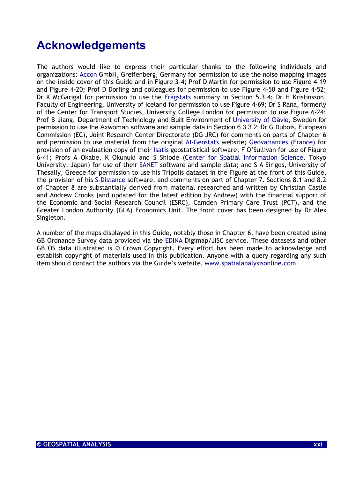### **Acknowledgements**

The authors would like to express their particular thanks to the following individuals and organizations: [Accon](http://www.laermkarten.de/noiserus/index.htm) GmbH, Greifenberg, Germany for permission to use the noise mapping images on the inside cover of this Guide and in Figure 3-4; Prof D Martin for permission to use Figure 4-19 and Figure 4-20; Prof D Dorling and colleagues for permission to use Figure 4-50 and Figure 4-52; Dr K McGarigal for permission to use the [Fragstats](http://www.umass.edu/landeco/research/fragstats/fragstats.html) summary in Section 5.3.4; Dr H Kristinsson, Faculty of Engineering, University of Iceland for permission to use Figure 4-69; Dr S Rana, formerly of the Center for Transport Studies, University College London for permission to use Figure 6-24; Prof B Jiang, Department of Technology and Built Environment of [University of Gävle,](http://www.hig.se/) Sweden for permission to use the Axwoman software and sample data in Section 6.3.3.2; Dr G Dubois, European Commission (EC), Joint Research Center Directorate (DG JRC) for comments on parts of Chapter 6 and permission to use material from the original [AI-Geostats](http://www.ai-geostats.org/) website; [Geovariances \(France\)](http://www.geovariances.com/) for provision of an evaluation copy of their [Isatis](http://www.geovariances.com/) geostatistical software; F O'Sullivan for use of Figure 6-41; Profs A Okabe, K Okunuki and S Shiode [\(Center for Spatial Information Science,](http://www.csis.u-tokyo.ac.jp/english/divisions_SIA.html) Tokyo University, Japan) for use of their [SANET](http://okabe.t.u-tokyo.ac.jp/okabelab/atsu/sanet/) software and sample data; and S A Sirigos, University of Thesally, Greece for permission to use his Tripolis dataset in the Figure at the front of this Guide, the provision of his [S-Distance](http://www.prd.uth.gr/res_labs/spatial_analysis/software/SdHome_en.asp) software, and comments on part of Chapter 7. Sections 8.1 and 8.2 of Chapter 8 are substantially derived from material researched and written by Christian Castle and Andrew Crooks (and updated for the latest edition by Andrew) with the financial support of the Economic and Social Research Council (ESRC), Camden Primary Care Trust (PCT), and the Greater London Authority (GLA) Economics Unit. The front cover has been designed by Dr Alex Singleton.

A number of the maps displayed in this Guide, notably those in Chapter 6, have been created using GB Ordnance Survey data provided via the [EDINA](http://www.edina.ac.uk/maps/) Digimap/JISC service. These datasets and other GB OS data illustrated is © Crown Copyright. Every effort has been made to acknowledge and establish copyright of materials used in this publication. Anyone with a query regarding any such item should contact the authors via the Guide's website, [www.spatialanalysisonline.com](http://www.spatialanalysisonline.com/)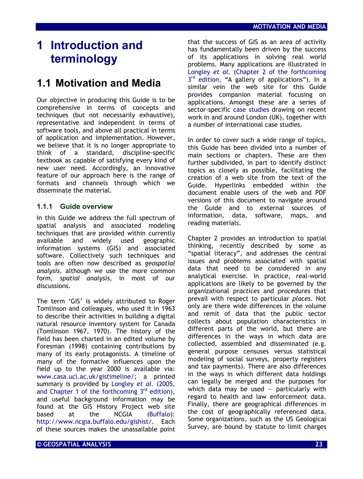# **1 Introduction and terminology**

### **1.1 Motivation and Media**

Our objective in producing this Guide is to be comprehensive in terms of concepts and techniques (but not necessarily exhaustive), representative and independent in terms of software tools, and above all practical in terms of application and implementation. However, we believe that it is no longer appropriate to think of a standard, discipline-specific textbook as capable of satisfying every kind of new user need. Accordingly, an innovative feature of our approach here is the range of formats and channels through which we disseminate the material.

#### **1.1.1 Guide overview**

In this Guide we address the full spectrum of spatial analysis and associated modeling techniques that are provided within currently available and widely used geographic information systems (GIS) and associated software. Collectively such techniques and tools are often now described as *geospatial analysis*, although we use the more common form, *spatial analysis*, in most of our discussions.

The term 'GIS' is widely attributed to Roger Tomlinson and colleagues, who used it in 1963 to describe their activities in building a digital natural resource inventory system for Canada (Tomlinson 1967, 1970). The history of the field has been charted in an edited volume by Foresman (1998) containing contributions by many of its early protagonists. A timeline of many of the formative influences upon the field up to the year 2000 is available via: [www.casa.ucl.ac.uk/gistimeline/](http://www.casa.ucl.ac.uk/gistimeline/); a printed summary is provided by [Longley](http://eu.wiley.com/WileyCDA/WileyTitle/productCd-047087001X.html) *et al.* (2005, and Chapter 1 of the forthcoming  $3<sup>rd</sup>$  [edition\),](http://eu.wiley.com/WileyCDA/WileyTitle/productCd-047087001X.html) and useful background information may be found at the GIS History Project web site based at the NCGIA [\(Buffalo\)](http://maps.google.co.uk/maps?f=q&source=s_q&hl=en&geocode=&q=buffalo&sll=63.587675,-16.259766&sspn=27.556284,69.345703&ie=UTF8&ll=42.838717,-78.769226&spn=0.667631,1.083527&z=10): [http://www.ncgia.buffalo.edu/gishist/.](http://www.ncgia.buffalo.edu/gishist/) Each of these sources makes the unassailable point that the success of GIS as an area of activity has fundamentally been driven by the success of its applications in solving real world problems. Many applications are illustrated in Longley *et al.* [\(Chapter 2 of the forthcoming](http://eu.wiley.com/WileyCDA/WileyTitle/productCd-047087001X.html) 3<sup>rd</sup> [edition,](http://eu.wiley.com/WileyCDA/WileyTitle/productCd-047087001X.html) "A gallery of applications"). In a similar vein the web site for this Guide provides companion material focusing on applications. Amongst these are a series of sector-specific [case studies](http://www.spatialanalysisonline.com/LondonCaseStudies.htm) drawing on recent work in and around London (UK), together with a number of international case studies.

In order to cover such a wide range of topics, this Guide has been divided into a number of main sections or chapters. These are then further subdivided, in part to identify distinct topics as closely as possible, facilitating the creation of a web site from the text of the Guide. Hyperlinks embedded within the document enable users of the web and PDF versions of this document to navigate around the Guide and to external sources of information, data, software, maps, and reading materials.

Chapter 2 provides an introduction to spatial thinking, recently described by some as "spatial literacy", and addresses the central issues and problems associated with spatial data that need to be considered in any analytical exercise. In practice, real-world applications are likely to be governed by the organizational *practices* and *procedures* that prevail with respect to particular *places*. Not only are there wide differences in the volume and remit of data that the public sector collects about population characteristics in different parts of the world, but there are differences in the ways in which data are collected, assembled and disseminated (e.g. general purpose censuses versus statistical modeling of social surveys, property registers and tax payments). There are also differences in the ways in which different data holdings can legally be merged and the purposes for which data may be used  $-$  particularly with regard to health and law enforcement data. Finally, there are geographical differences in the cost of geographically referenced data. Some organizations, such as the US Geological Survey, are bound by statute to limit charges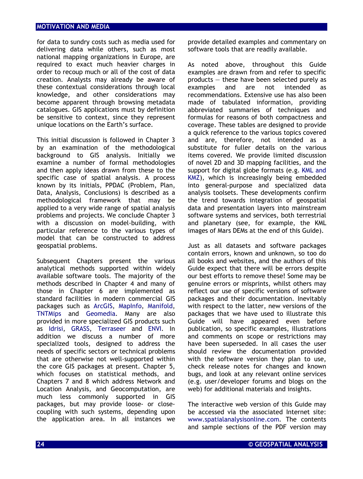#### **MOTIVATION AND MEDIA**

for data to sundry costs such as media used for delivering data while others, such as most national mapping organizations in Europe, are required to exact much heavier charges in order to recoup much or all of the cost of data creation. Analysts may already be aware of these contextual considerations through local knowledge, and other considerations may become apparent through browsing metadata catalogues. GIS applications must by definition be sensitive to context, since they represent unique locations on the Earth's surface.

This initial discussion is followed in Chapter 3 by an examination of the methodological background to GIS analysis. Initially we examine a number of formal methodologies and then apply ideas drawn from these to the specific case of spatial analysis. A process known by its initials, PPDAC (Problem, Plan, Data, Analysis, Conclusions) is described as a methodological framework that may be applied to a very wide range of spatial analysis problems and projects. We conclude Chapter 3 with a discussion on model-building, with particular reference to the various types of model that can be constructed to address geospatial problems.

Subsequent Chapters present the various analytical methods supported within widely available software tools. The majority of the methods described in Chapter 4 and many of those in Chapter 6 are implemented as standard facilities in modern commercial GIS packages such as [ArcGIS,](http://www.esri.com/) [MapInfo,](http://www.mapinfo.com/) [Manifold,](http://www.manifold.net/) [TNTMips](http://www.microimages.com/) and [Geomedia.](http://www.intergraph.com/) Many are also provided in more specialized GIS products such as [Idrisi,](http://www.clarklabs.org/) [GRASS,](http://grass.itc.it/) [Terraseer](http://www.terraseer.com/) and [ENVI.](http://www.ittvis.com/ProductServices/ENVI.aspx) In addition we discuss a number of more specialized tools, designed to address the needs of specific sectors or technical problems that are otherwise not well-supported within the core GIS packages at present. Chapter 5, which focuses on statistical methods, and Chapters 7 and 8 which address Network and Location Analysis, and Geocomputation, are much less commonly supported in GIS packages, but may provide loose- or close coupling with such systems, depending upon the application area. In all instances we

provide detailed examples and commentary on software tools that are readily available.

As noted above, throughout this Guide examples are drawn from and refer to specific products — these have been selected purely as and are not intended as recommendations. Extensive use has also been made of tabulated information, providing abbreviated summaries of techniques and formulas for reasons of both compactness and coverage. These tables are designed to provide a quick reference to the various topics covered and are, therefore, not intended as a substitute for fuller details on the various items covered. We provide limited discussion of novel 2D and 3D mapping facilities, and the support for digital globe formats (e.g[. KML and](http://code.google.com/apis/kml/documentation/kml_tut.html)  [KMZ](http://code.google.com/apis/kml/documentation/kml_tut.html)), which is increasingly being embedded into general-purpose and specialized data analysis toolsets. These developments confirm the trend towards integration of geospatial data and presentation layers into mainstream software systems and services, both terrestrial and planetary (see, for example, the KML images of Mars DEMs at the end of this Guide).

Just as all datasets and software packages contain errors, known and unknown, so too do all books and websites, and the authors of this Guide expect that there will be errors despite our best efforts to remove these! Some may be genuine errors or misprints, whilst others may reflect our use of specific versions of software packages and their documentation. Inevitably with respect to the latter, new versions of the packages that we have used to illustrate this Guide will have appeared even before publication, so specific examples, illustrations and comments on scope or restrictions may have been superseded. In all cases the user should review the documentation provided with the software version they plan to use, check release notes for changes and known bugs, and look at any relevant online services (e.g. user/developer forums and blogs on the web) for additional materials and insights.

The interactive web version of this Guide may be accessed via the associated Internet site: [www.spatialanalysisonline.com](http://www.spatialanalysisonline.com/). The contents and sample sections of the PDF version may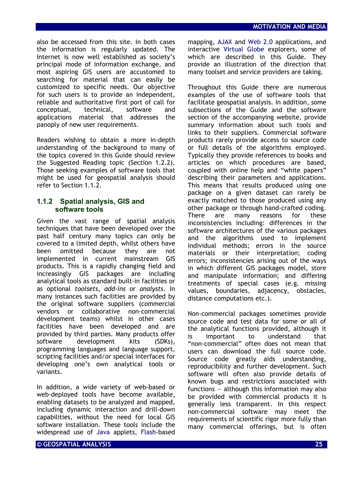also be accessed from this site. In both cases the information is regularly updated. The Internet is now well established as society's principal mode of information exchange, and most aspiring GIS users are accustomed to searching for material that can easily be customized to specific needs. Our objective for such users is to provide an independent, reliable and authoritative first port of call for conceptual, technical, software and applications material that addresses the panoply of new user requirements.

Readers wishing to obtain a more in-depth understanding of the background to many of the topics covered in this Guide should review the Suggested Reading topic (Section 1.2.2). Those seeking examples of software tools that might be used for geospatial analysis should refer to Section 1.1.2.

#### **1.1.2 Spatial analysis, GIS and software tools**

Given the vast range of spatial analysis techniques that have been developed over the past half century many topics can only be covered to a limited depth, whilst others have been omitted because they are not implemented in current mainstream GIS products. This is a rapidly changing field and increasingly GIS packages are including analytical tools as standard built-in facilities or as optional *toolsets*, *add-ins* or *analysts*. In many instances such facilities are provided by the original software suppliers (commercial vendors or collaborative non-commercial development teams) whilst in other cases facilities have been developed and are provided by third parties. Many products offer is important software development kits (SDKs), programming languages and language support, scripting facilities and/or special interfaces for developing one's own analytical tools or variants.

In addition, a wide variety of web-based or web-deployed tools have become available, enabling datasets to be analyzed and mapped, including dynamic interaction and drill-down capabilities, without the need for local GIS software installation. These tools include the widespread use of [Java](http://java.sun.com/) applets, [Flash](http://www.adobe.com/products/flash/)-based mapping, [AJAX](http://en.wikipedia.org/wiki/AJAX) and [Web 2.0](http://en.wikipedia.org/wiki/Web_2.0) applications, and interactive [Virtual Globe](http://en.wikipedia.org/wiki/Virtual_globe) explorers, some of which are described in this Guide. They provide an illustration of the direction that many toolset and service providers are taking.

Throughout this Guide there are numerous examples of the use of software tools that facilitate geospatial analysis. In addition, some subsections of the Guide and the software section of the accompanying website, provide summary information about such tools and links to their suppliers. Commercial software products rarely provide access to source code or full details of the algorithms employed. Typically they provide references to books and articles on which procedures are based, coupled with online help and "white papers" describing their parameters and applications. This means that results produced using one package on a given dataset can rarely be exactly matched to those produced using any other package or through hand-crafted coding. There are many reasons for these inconsistencies including: differences in the software architectures of the various packages and the algorithms used to implement individual methods; errors in the source materials or their interpretation; coding errors; inconsistencies arising out of the ways in which different GIS packages model, store and manipulate information; and differing treatments of special cases (e.g. missing values, boundaries, adjacency, obstacles, distance computations etc.).

Non-commercial packages sometimes provide source code and test data for some or all of the analytical functions provided, although it to understand that "non-commercial" often does not mean that users can download the full source code. Source code greatly aids understanding, reproducibility and further development. Such software will often also provide details of known bugs and restrictions associated with functions  $-$  although this information may also be provided with commercial products it is generally less transparent. In this respect non-commercial software may meet the requirements of scientific rigor more fully than many commercial offerings, but is often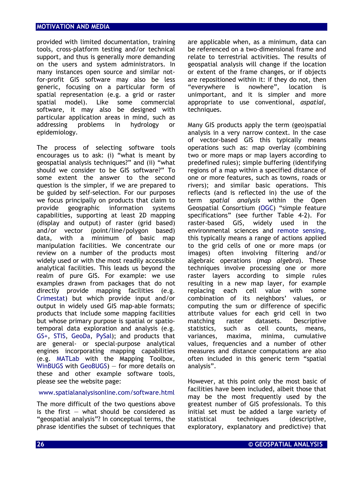#### **MOTIVATION AND MEDIA**

provided with limited documentation, training tools, cross-platform testing and/or technical support, and thus is generally more demanding on the users and system administrators. In many instances open source and similar not for-profit GIS software may also be less generic, focusing on a particular form of spatial representation (e.g. a grid or raster spatial model). Like some commercial software, it may also be designed with techniques. particular application areas in mind, such as addressing problems in hydrology or epidemiology.

The process of selecting software tools encourages us to ask: (i) "what is meant by geospatial analysis techniques?" and (ii) "what should we consider to be GIS software?" To some extent the answer to the second question is the simpler, if we are prepared to be guided by self-selection. For our purposes we focus principally on products that claim to provide geographic information systems capabilities, supporting at least 2D mapping (display and output) of raster (grid based) and/or vector (point/line/polygon based) environmental sciences and remote sensing, data, with a minimum of basic map manipulation facilities. We concentrate our review on a number of the products most widely used or with the most readily accessible analytical facilities. This leads us beyond the realm of pure GIS. For example: we use examples drawn from packages that do not directly provide mapping facilities (e.g. [Crimestat\)](http://www.icpsr.umich.edu/CRIMESTAT/) but which provide input and/or output in widely used GIS map-able formats; products that include some mapping facilities but whose primary purpose is spatial or spatio temporal data exploration and analysis (e.g. [GS+,](http://gammadesign.com/) [STIS,](http://www.terraseer.com/products_stis.php) [GeoDa,](http://geodacenter.asu.edu/) [PySal](http://geodacenter.asu.edu/pysal)); and products that variances, are general- or special-purpose analytical engines incorporating mapping capabilities (e.g. [MATLab](http://www.mathworks.com/) with the Mapping Toolbox, [WinBUGS](http://www.mrc-bsu.cam.ac.uk/bugs/) with [GeoBUGS](http://www.mrc-bsu.cam.ac.uk/bugs/winbugs/geobugs.shtml)) — for more details on these and other example software tools, please see the website page:

#### [www.spatialanalysisonline.com/software.html](http://www.spatialanalysisonline.com/software.html)

The more difficult of the two questions above is the first  $-$  what should be considered as "geospatial analysis"? In conceptual terms, the phrase identifies the subset of techniques that

are applicable when, as a minimum, data can be referenced on a two-dimensional frame and relate to terrestrial activities. The results of geospatial analysis will change if the location or extent of the frame changes, or if objects are repositioned within it: if they do not, then nowhere", location is unimportant, and it is simpler and more appropriate to use conventional, aspatial,

Many GIS products apply the term (geo)spatial analysis in a very narrow context. In the case of vector-based GIS this typically means operations such as: map overlay (combining two or more maps or map layers according to predefined rules); simple buffering (identifying regions of a map within a specified distance of one or more features, such as towns, roads or rivers); and similar basic operations. This reflects (and is reflected in) the use of the term *spatial analysis* within the Open Geospatial Consortium [\(OGC](http://www.opengeospatial.org/)) "simple feature specifications" (see further Table 4-2). For raster-based GIS, widely used in the this typically means a range of actions applied to the grid cells of one or more maps (or images) often involving filtering and/or algebraic operations (*map algebra*). These techniques involve processing one or more raster layers according to simple rules resulting in a new map layer, for example replacing each cell value with some combination of its neighbors' values, or computing the sum or difference of specific attribute values for each grid cell in two raster datasets. Descriptive such as cell counts, means, maxima, minima, cumulative values, frequencies and a number of other measures and distance computations are also often included in this generic term "spatial analysis".

However, at this point only the most basic of facilities have been included, albeit those that may be the most frequently used by the greatest number of GIS professionals. To this initial set must be added a large variety of techniques (descriptive, exploratory, explanatory and predictive) that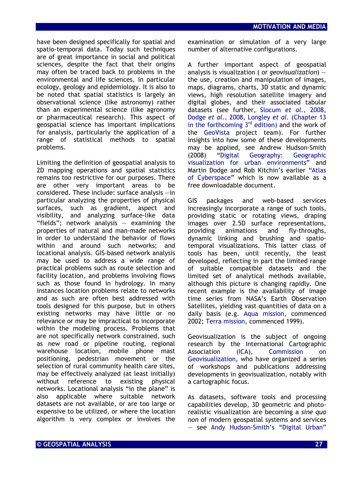have been designed specifically for spatial and spatio-temporal data. Today such techniques are of great importance in social and political sciences, despite the fact that their origins may often be traced back to problems in the environmental and life sciences, in particular ecology, geology and epidemiology. It is also to be noted that spatial statistics is largely an observational science (like astronomy) rather than an experimental science (like agronomy datasets (see further, Slocum et al., 2008, or pharmaceutical research). This aspect of geospatial science has important implications for analysis, particularly the application of a range of statistical methods to spatial problems.

Limiting the definition of geospatial analysis to 2D mapping operations and spatial statistics remains too restrictive for our purposes. There are other very important areas to be considered. These include: surface analysis —in particular analyzing the properties of physical surfaces, such as gradient, aspect and visibility, and analyzing surface-like data "fields"; network analysis  $-$  examining the properties of natural and man-made networks in order to understand the behavior of flows within and around such networks; and locational analysis. GIS-based network analysis may be used to address a wide range of practical problems such as route selection and facility location, and problems involving flows such as those found in hydrology. In many instances location problems relate to networks and as such are often best addressed with tools designed for this purpose, but in others existing networks may have little or no relevance or may be impractical to incorporate within the modeling process. Problems that are not specifically network constrained, such as new road or pipeline routing, regional warehouse location, mobile phone mast positioning, pedestrian movement or the selection of rural community health care sites, may be effectively analyzed (at least initially) without reference to existing physical networks. Locational analysis "in the plane" is also applicable where suitable network datasets are not available, or are too large or expensive to be utilized, or where the location algorithm is very complex or involves the non of modern geospatial systems and services

examination or simulation of a very large number of alternative configurations.

A further important aspect of geospatial analysis is visualization ( or *geovisualization*) the use, creation and manipulation of images, maps, diagrams, charts, 3D static and dynamic views, high resolution satellite imagery and digital globes, and their associated tabular [Dodge](http://as.wiley.com/WileyCDA/WileyTitle/productCd-0470515112.html) *et al.*, 2008, Longley *et al.* (Chapter 13) in the forthcoming  $3<sup>rd</sup>$  edition) and the work of the [GeoVista](http://www.geovista.psu.edu/) project team). For further insights into how some of these developments may be applied, see Andrew Hudson-Smith (2008) ["Digital Geography: Geographic](http://www.casa.ucl.ac.uk/publications/bookDetail.asp?ID=17) [visualization for urban environments](http://www.casa.ucl.ac.uk/publications/bookDetail.asp?ID=17)" and Martin Dodge and Rob Kitchin's earlier ["Atlas](http://www.kitchin.org/atlas/contents.html)  [of Cyberspace](http://www.kitchin.org/atlas/contents.html)" which is now available as a free downloadable document.

packages and web-based services increasingly incorporate a range of such tools, providing static or rotating views, draping images over 2.5D surface representations, animations and fly-throughs, dynamic linking and brushing and spatio temporal visualizations. This latter class of tools has been, until recently, the least developed, reflecting in part the limited range of suitable compatible datasets and the limited set of analytical methods available, although this picture is changing rapidly. One recent example is the availability of image time series from NASA's Earth Observation Satellites, yielding vast quantities of data on a daily basis (e.g. [Aqua mission,](http://www.nasa.gov/mission_pages/aqua/) commenced 2002; [Terra mission,](http://www.nasa.gov/mission_pages/terra/index.ht) commenced 1999).

Geovisualization is the subject of ongoing research by the International Cartographic Association [\(ICA\)](http://cartography.tuwien.ac.at/ica/), [Commission on](http://geoanalytics.net/ica/)  [Geovisualization](http://geoanalytics.net/ica/), who have organized a series of workshops and publications addressing developments in geovisualization, notably with a cartographic focus.

As datasets, software tools and processing capabilities develop, 3D geometric and photo realistic visualization are becoming a *sine qua*  - see [Andy Hudson-Smith's "Digital Urban"](http://digitalurban.blogspot.com/search/label/3D%20Modelling)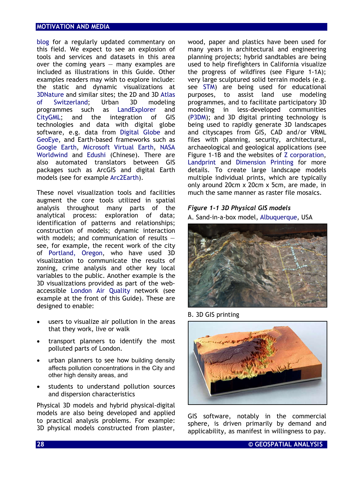#### **MOTIVATION AND MEDIA**

[blog](http://digitalurban.blogspot.com/search/label/3D%20Modelling) for a regularly updated commentary on this field. We expect to see an explosion of tools and services and datasets in this area over the coming years  $-$  many examples are included as illustrations in this Guide. Other examples readers may wish to explore include: the static and dynamic visualizations at [3DNature](http://3dnature.com/) and similar sites; the 2D and 3D [Atlas](http://www.atlasofswitzerland.ch/)  [of Switzerland](http://www.atlasofswitzerland.ch/); Urban 3D modeling programmes such as [LandExplorer](http://www.landxplorer.com/) and [CityGML;](http://www.citygml.org/) and the integration of GIS technologies and data with digital globe software, e.g. data from [Digital Globe](http://www.digitalglobe.com/) and [GeoEye](http://www.geoeye.com/), and Earth-based frameworks such as [Google Earth](http://earth.google.com/), [Microsoft Virtual Earth,](http://www.microsoft.com/virtualearth/) [NASA](http://worldwind.arc.nasa.gov/)  [Worldwind](http://worldwind.arc.nasa.gov/) and [Edushi](http://www.edushi.com/) (Chinese). There are Figure 1-1B and the websites of Z corporation. also automated translators between GIS packages such as ArcGIS and digital Earth models (see for exampl[e Arc2Earth\)](http://www.arc2earth.com/).

These novel visualization tools and facilities augment the core tools utilized in spatial analysis throughout many parts of the analytical process: exploration of data; identification of patterns and relationships; construction of models; dynamic interaction with models; and communication of results see, for example, the recent work of the city of [Portland, Oregon,](http://www.portlandmaps.com/google.cfm) who have used 3D visualization to communicate the results of zoning, crime analysis and other key local variables to the public. Another example is the 3D visualizations provided as part of the web accessible [London Air Quality](http://www.londonair.org.uk/) network (see example at the front of this Guide). These are designed to enable:

- users to visualize air pollution in the areas that they work, live or walk
- transport planners to identify the most polluted parts of London.
- urban planners to see how building density affects pollution concentrations in the City and other high density areas, and
- students to understand pollution sources and dispersion characteristics

Physical 3D models and hybrid physical-digital models are also being developed and applied to practical analysis problems. For example: 3D physical models constructed from plaster,

wood, paper and plastics have been used for many years in architectural and engineering planning projects; hybrid sandtables are being used to help firefighters in California visualize the progress of wildfires (see Figure 1-1A); very large sculptured solid terrain models (e.g. see [STM\)](http://www.stm-usa.com/) are being used for educational purposes, to assist land use modeling programmes, and to facilitate participatory 3D modeling in less-developed communities [\(P3DM\)](http://www.iapad.org/p3dm_guiding_principles.htm); and 3D digital printing technology is being used to rapidly generate 3D landscapes and cityscapes from GIS, CAD and/or VRML files with planning, security, architectural, archaeological and geological applications (see [Landprint](http://landprint.com/) and [Dimension Printing](http://www.dimensionprinting.com/) for more details. To create large landscape models multiple individual prints, which are typically only around 20cm x 20cm x 5cm, are made, in much the same manner as raster file mosaics.

#### *Figure 1-1 3D Physical GIS models*

A. Sand-in-a-box model[, Albuquerque](http://maps.google.co.uk/maps?f=q&source=s_q&hl=en&q=Albuquerque,+New+Mexico,+United+States&sll=42.838717,-78.769226&sspn=0.667631,1.083527&ie=UTF8&cd=1&geocode=FbNIFwId8_-k-Q&split=0&ll=35.114292,-106.593475&spn=0.74478,1.083527&t=p&z=10), USA



B. 3D GIS printing



GIS software, notably in the commercial sphere, is driven primarily by demand and applicability, as manifest in willingness to pay.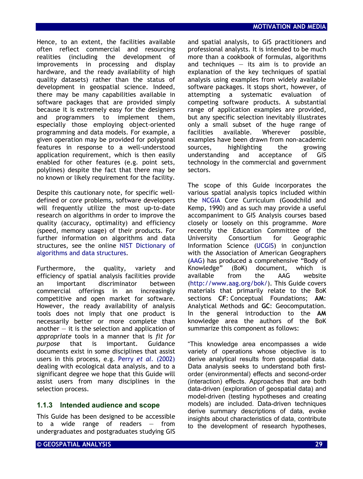Hence, to an extent, the facilities available often reflect commercial and resourcing realities (including the development of improvements in processing and display hardware, and the ready availability of high quality datasets) rather than the status of development in geospatial science. Indeed, there may be many capabilities available in software packages that are provided simply because it is extremely easy for the designers and programmers to implement them, especially those employing object-oriented programming and data models. For example, a given operation may be provided for polygonal features in response to a well-understood application requirement, which is then easily enabled for other features (e.g. point sets, polylines) despite the fact that there may be no known or likely requirement for the facility.

Despite this cautionary note, for specific well defined or *core* problems, software developers will frequently utilize the most up-to-date research on algorithms in order to improve the quality (accuracy, optimality) and efficiency (speed, memory usage) of their products. For further information on algorithms and data structures, see the online [NIST Dictionary of](http://www.nist.gov/dads/) [algorithms and data structures.](http://www.nist.gov/dads/)

Furthermore, the quality, variety and efficiency of spatial analysis facilities provide an important discriminator between commercial offerings in an increasingly competitive and open market for software. However, the ready availability of analysis tools does not imply that one product is necessarily better or more complete than another  $-$  it is the selection and application of *appropriate* tools in a manner that is *fit for purpose* that is important. Guidance documents exist in some disciplines that assist users in this process, e.g. Perry *et al.* [\(2002\)](http://www.rothamsted.bbsrc.ac.uk/pie/sadie/reprints/subgroup1_ecography.pdf) dealing with ecological data analysis, and to a significant degree we hope that this Guide will assist users from many disciplines in the selection process.

#### **1.1.3 Intended audience and scope**

This Guide has been designed to be accessible to a wide range of readers — from undergraduates and postgraduates studying GIS and spatial analysis, to GIS practitioners and professional analysts. It is intended to be much more than a cookbook of formulas, algorithms and techniques  $-$  its aim is to provide an explanation of the key techniques of spatial analysis using examples from widely available software packages. It stops short, however, of attempting a systematic evaluation of competing software products. A substantial range of application examples are provided, but any specific selection inevitably illustrates only a small subset of the huge range of available. Wherever possible, examples have been drawn from non-academic highlighting the growing understanding and acceptance of GIS technology in the commercial and government sectors.

The scope of this Guide incorporates the various spatial analysis topics included within the [NCGIA](http://www.ncgia.ucsb.edu/) Core Curriculum (Goodchild and Kemp, 1990) and as such may provide a useful accompaniment to GIS Analysis courses based closely or loosely on this programme. More recently the Education Committee of the Consortium for Geographic Information Science [\(UCGIS\)](http://www.ucgis.org/) in conjunction with the Association of American Geographers [\(AAG](http://www.aag.org/)) has produced a comprehensive "Body of Knowledge" (BoK) document, which is available from the AAG website [\(http://www.aag.org/bok/](http://www.aag.org/bok/)). This Guide covers materials that primarily relate to the BoK sections **CF**: Conceptual Foundations; **AM**: Analytical Methods and **GC**: Geocomputation. In the general introduction to the **AM** knowledge area the authors of the BoK summarize this component as follows:

"This knowledge area encompasses a wide variety of operations whose objective is to derive analytical results from geospatial data. Data analysis seeks to understand both first order (environmental) effects and second-order (interaction) effects. Approaches that are both data-driven (exploration of geospatial data) and model-driven (testing hypotheses and creating models) are included. Data-driven techniques derive summary descriptions of data, evoke insights about characteristics of data, contribute to the development of research hypotheses,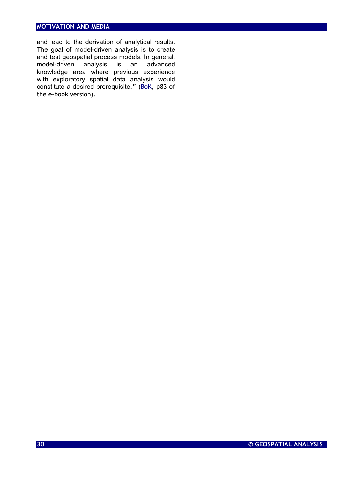#### **MOTIVATION AND MEDIA**

and lead to the derivation of analytical results. The goal of model-driven analysis is to create and test geospatial process models. In general, model-driven analysis is an advanced knowledge area where previous experience with exploratory spatial data analysis would constitute a desired prerequisite." [\(BoK,](http://www.aag.org/bok/) p83 of the e-book version).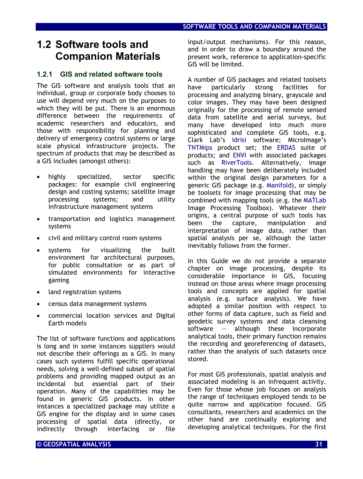### **1.2 Software tools and Companion Materials**

#### **1.2.1 GIS and related software tools**

The GIS software and analysis tools that an have individual, group or corporate body chooses to use will depend very much on the purposes to which they will be put. There is an enormous difference between the requirements of academic researchers and educators, and those with responsibility for planning and delivery of emergency control systems or large scale physical infrastructure projects. The spectrum of products that may be described as a GIS includes (amongst others):

- highly specialized, sector specific packages: for example civil engineering design and costing systems; satellite image processing systems; and utility infrastructure management systems
- transportation and logistics management been the systems
- civil and military control room systems
- systems for visualizing the built environment for architectural purposes, for public consultation or as part of simulated environments for interactive gaming
- land registration systems
- census data management systems
- commercial location services and Digital Earth models

The list of software functions and applications is long and in some instances suppliers would not describe their offerings as a GIS. In many cases such systems fulfill specific operational needs, solving a well-defined subset of spatial problems and providing mapped output as an incidental but essential part of their operation. Many of the capabilities may be found in generic GIS products. In other instances a specialized package may utilize a GIS engine for the display and in some cases processing of spatial data (directly, or indirectly through interfacing or file

input/output mechanisms). For this reason, and in order to draw a boundary around the present work, reference to application-specific GIS will be limited.

A number of GIS packages and related toolsets particularly strong facilities for processing and analyzing binary, grayscale and color images. They may have been designed originally for the processing of remote sensed data from satellite and aerial surveys, but many have developed into much more sophisticated and complete GIS tools, e.g. Clark Lab's [Idrisi](http://www.clarklabs.org/) software; MicroImage's [TNTMips](http://www.microimages.com/) product set; the [ERDAS](http://www.erdas.com/) suite of products; and [ENVI](http://www.ittvis.com/envi/index.asp) with associated packages such as [RiverTools](http://www.rivix.com/). Alternatively, image handling may have been deliberately included within the original design parameters for a generic GIS package (e.g. [Manifold](http://www.manifold.net/)), or simply be toolsets for image processing that may be combined with mapping tools (e.g. th[e MATLab](http://www.mathworks.com/) Image Processing Toolbox). Whatever their origins, a central purpose of such tools has capture, manipulation and interpretation of image data, rather than spatial analysis per se, although the latter inevitably follows from the former.

In this Guide we do not provide a separate chapter on image processing, despite its considerable importance in GIS, focusing instead on those areas where image processing tools and concepts are applied for spatial analysis (e.g. surface analysis). We have adopted a similar position with respect to other forms of data capture, such as field and geodetic survey systems and data cleansing software — although these incorporate analytical tools, their primary function remains the recording and georeferencing of datasets, rather than the analysis of such datasets once stored.

For most GIS professionals, spatial analysis and associated modeling is an infrequent activity. Even for those whose job focuses on analysis the range of techniques employed tends to be quite narrow and application focused. GIS consultants, researchers and academics on the other hand are continually exploring and developing analytical techniques. For the first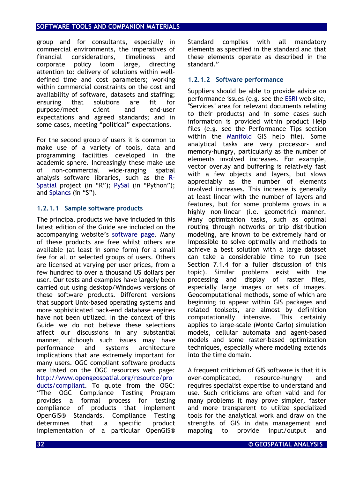#### **SOFTWARE TOOLS AND COMPANION MATERIALS**

group and for consultants, especially in commercial environments, the imperatives of financial considerations, timeliness and corporate policy loom large, directing attention to: delivery of solutions within well defined time and cost parameters; working within commercial constraints on the cost and availability of software, datasets and staffing; ensuring that solutions are fit for purpose/meet client and end-user expectations and agreed standards; and in some cases, meeting "political" expectations.

For the second group of users it is common to make use of a variety of tools, data and programming facilities developed in the academic sphere. Increasingly these make use of non-commercial wide-ranging spatial analysis software libraries, such as the [R-](http://cran.r-project.org/web/views/Spatial.html) [Spatial](http://cran.r-project.org/web/views/Spatial.html) project (in "R"); [PySal](http://geodacenter.asu.edu/software) (in "Python"); an[d Splancs](http://www.maths.lancs.ac.uk/~rowlings/Splancs/) (in "S").

#### **1.2.1.1 Sample software products**

The principal products we have included in this latest edition of the Guide are included on the accompanying website's [software page](http://www.spatialanalysisonline.com/software.html). Many of these products are free whilst others are available (at least in some form) for a small fee for all or selected groups of users. Others are licensed at varying per user prices, from a few hundred to over a thousand US dollars per user. Our tests and examples have largely been carried out using desktop/Windows versions of these software products. Different versions that support Unix-based operating systems and more sophisticated back-end database engines have not been utilized. In the context of this Guide we do not believe these selections affect our discussions in any substantial manner, although such issues may have performance and systems architecture implications that are extremely important for many users. OGC compliant software products are listed on the OGC resources web page: [http://www.opengeospatial.org/resource/pr](http://www.opengeospatial.org/resource/products/compliant)o [ducts/compliant.](http://www.opengeospatial.org/resource/products/compliant) To quote from the OGC: "The OGC Compliance Testing Program provides a formal process for testing compliance of products that implement OpenGIS® Standards. Compliance Testing determines that a specific product implementation of a particular OpenGIS® mapping

complies with all mandatory elements as specified in the standard and that these elements operate as described in the standard."

#### **1.2.1.2 Software performance**

Suppliers should be able to provide advice on performance issues (e.g. see th[e ESRI](http://www.esri.com/) web site, "Services" area for relevant documents relating to their products) and in some cases such information is provided within product Help files (e.g. see the Performance Tips section within the [Manifold](http://www.manifold.net/) GIS help file). Some analytical tasks are very processor- and memory-hungry, particularly as the number of elements involved increases. For example, vector overlay and buffering is relatively fast with a few objects and layers, but slows appreciably as the number of elements involved increases. This increase is generally at least linear with the number of layers and features, but for some problems grows in a highly non-linear (i.e. geometric) manner. Many optimization tasks, such as optimal routing through networks or trip distribution modeling, are known to be extremely hard or impossible to solve optimally and methods to achieve a best solution with a large dataset can take a considerable time to run (see Section 7.1.4 for a fuller discussion of this topic). Similar problems exist with the processing and display of raster files, especially large images or sets of images. Geocomputational methods, some of which are beginning to appear within GIS packages and related toolsets, are almost by definition computationally intensive. This certainly applies to large-scale (Monte Carlo) simulation models, cellular automata and agent-based models and some raster-based optimization techniques, especially where modeling extends into the time domain.

A frequent criticism of GIS software is that it is over-complicated, resource-hungry and requires specialist expertise to understand and use. Such criticisms are often valid and for many problems it may prove simpler, faster and more transparent to utilize specialized tools for the analytical work and draw on the strengths of GIS in data management and to provide input/output and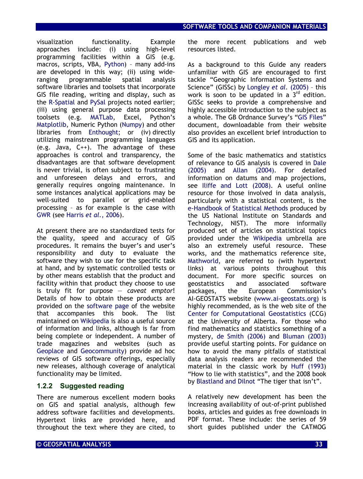visualization functionality. Example approaches include: (i) using high-level programming facilities within a GIS (e.g. macros, scripts, VBA, [Python\)](http://www.python.org/) – many add-ins are developed in this way; (ii) using wide ranging programmable spatial analysis software libraries and toolsets that incorporate GIS file reading, writing and display, such as the [R-Spatial](http://cran.r-project.org/web/views/Spatial.html) and [PySal](http://geodacenter.asu.edu/pysal) projects noted earlier; (iii) using general purpose data processing toolsets (e.g. [MATLab,](http://www.mathworks.com/) Excel, Python's [Matplotlib](http://matplotlib.sourceforge.net/), Numeric Python [\(Numpy\)](http://scipy.org/) and other libraries from [Enthought;](https://www.enthought.com/) or (iv) directly utilizing mainstream programming languages (e.g. Java, C++). The advantage of these approaches is control and transparency, the disadvantages are that software development is never trivial, is often subject to frustrating and unforeseen delays and errors, and generally requires ongoing maintenance. In some instances analytical applications may be well-suited to parallel or grid-enabled processing – as for example is the case with [GWR](http://www.nuim.ie/ncg/GWR/) (see [Harris](http://www.ncess.ac.uk/research/sgp/gesrm/) *et al.*, 2006).

At present there are no standardized tests for the quality, speed and accuracy of GIS procedures. It remains the buyer's and user's responsibility and duty to evaluate the software they wish to use for the specific task at hand, and by systematic controlled tests or by other means establish that the product and facility within that product they choose to use is truly fit for purpose — *caveat emptor*! Details of how to obtain these products are provided on the [software page](http://www.spatialanalysisonline.com/software.html) of the website that accompanies this book. The list maintained o[n Wikipedia](http://en.wikipedia.org/wiki/List_of_GIS_software) is also a useful source of information and links, although is far from being complete or independent. A number of trade magazines and websites (such as [Geoplace](http://www.geoplace.com/) and [Geocommunity\)](http://software.geocomm.com/) provide ad hoc reviews of GIS software offerings, especially new releases, although coverage of analytical functionality may be limited.

#### **1.2.2 Suggested reading**

There are numerous excellent modern books on GIS and spatial analysis, although few address software facilities and developments. Hypertext links are provided here, and throughout the text where they are cited, to the more recent publications and web resources listed.

As a background to this Guide any readers unfamiliar with GIS are encouraged to first tackle "Geographic Information Systems and Science" (GISSc) by [Longley](http://eu.wiley.com/WileyCDA/WileyTitle/productCd-047087001X.html) *et al.* (2005) – this work is soon to be updated in a  $3<sup>rd</sup>$  edition. GISSc seeks to provide a comprehensive and highly accessible introduction to the subject as a whole. The GB Ordnance Survey's ["GIS Files"](http://www.ordnancesurvey.co.uk/oswebsite/gisfiles) document, downloadable from their website also provides an excellent brief introduction to GIS and its application.

Some of the basic mathematics and statistics of relevance to GIS analysis is covered in [Dale](http://www.amazon.com/gp/product/0415334144/)  [\(2005\)](http://www.amazon.com/gp/product/0415334144/) and [Allan \(2004\).](http://moo.whittlespublishing.com/whittles/item/5211) For detailed information on datums and map projections, see [Iliffe and Lott \(2008\)](http://moo.whittlespublishing.com/whittles/item/1735). A useful online resource for those involved in data analysis, particularly with a statistical content, is the [e-Handbook of Statistical Methods](http://www.itl.nist.gov/div898/handbook/index.htm) produced by the US National Institute on Standards and Technology, NIST). The more informally produced set of articles on statistical topics provided under the [Wikipedia](http://en.wikipedia.org/wiki/List_of_statistical_topics) umbrella are also an extremely useful resource. These works, and the mathematics reference site, [Mathworld](http://mathworld.wolfram.com/), are referred to (with hypertext links) at various points throughout this document. For more specific sources on geostatistics and associated software the European Commission's AI-GEOSTATS website [\(www.ai-geostats.org](http://www.ai-geostats.org/)) is highly recommended, as is the web site of the [Center for Computational Geostatistics](http://www.uofaweb.ualberta.ca/ccg/) (CCG) at the University of Alberta. For those who find mathematics and statistics something of a mystery, [de Smith \(2006\)](http://www.troubador.co.uk/book_info.asp?bookid=307) and [Bluman \(2003\)](http://www.amazon.com/Elementary-Statistics-Step-Approach/dp/0072549076/) provide useful starting points. For guidance on how to avoid the many pitfalls of statistical data analysis readers are recommended the material in the classic work by [Huff \(1993](http://www.amazon.com/How-Lie-Statistics-Darrell-Huff/dp/0393310728/)) "How to lie with statistics", and the 2008 book b[y Blastland and Dilnot](http://www.amazon.co.uk/Tiger-That-Isnt-Through-Numbers/dp/1861978391) "The tiger that isn't".

A relatively new development has been the increasing availability of out-of-print published books, articles and guides as free downloads in PDF format. These include: the series of 59 short guides published under the CATMOG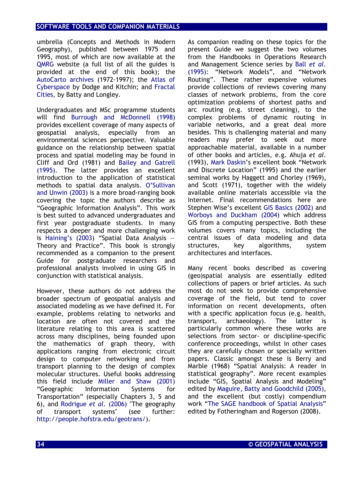umbrella (Concepts and Methods in Modern Geography), published between 1975 and 1995, most of which are now available at the [QMRG](http://www.qmrg.org.uk/?page_id=141) website (a full list of all the guides is provided at the end of this book); the [AutoCarto archives](http://mapcontext.com/autocarto/proceedings/) (1972-1997); the [Atlas of](http://www.kitchin.org/atlas/contents.html)  [Cyberspace](http://www.kitchin.org/atlas/contents.html) by Dodge and Kitchin; and [Fractal](http://www.fractalcities.org/)  [Cities,](http://www.fractalcities.org/) by Batty and Longley.

Undergraduates and MSc programme students will find [Burrough and McDonnell \(1998\)](http://www.oup.com/uk/catalogue/?ci=9780198233657) provides excellent coverage of many aspects of geospatial analysis, especially from an environmental sciences perspective. Valuable guidance on the relationship between spatial process and spatial modeling may be found in Cliff and Ord (1981) and [Bailey and Gatrell](http://www.amazon.com/gp/product/0582244935/) [\(1995\).](http://www.amazon.com/gp/product/0582244935/) The latter provides an excellent introduction to the application of statistical methods to spatial data analysis. [O'Sullivan](http://eu.wiley.com/WileyCDA/WileyTitle/productCd-0471211761.html)  [and Unwin \(2003\)](http://eu.wiley.com/WileyCDA/WileyTitle/productCd-0471211761.html) is a more broad-ranging book covering the topic the authors describe as "Geographic Information Analysis". This work is best suited to advanced undergraduates and first year postgraduate students. In many respects a deeper and more challenging work is [Haining's \(2003\)](http://www.cambridge.org/catalogue/catalogue.asp?isbn=0521774373) "Spatial Data Analysis — Theory and Practice". This book is strongly structures, recommended as a companion to the present Guide for postgraduate researchers and professional analysts involved in using GIS in conjunction with statistical analysis.

However, these authors do not address the broader spectrum of geospatial analysis and associated modeling as we have defined it. For example, problems relating to networks and location are often not covered and the literature relating to this area is scattered across many disciplines, being founded upon the mathematics of graph theory, with applications ranging from electronic circuit design to computer networking and from transport planning to the design of complex molecular structures. Useful books addressing this field include [Miller and Shaw \(2001\)](http://www.oup.com/uk/catalogue/?ci=9780195123944) include "GIS, Spatial Analysis and Modeling" this especies of the me<br>"Geographic Information Systems for edited by Maguire, Batty and Goodchild (2005), "Geographic Information Systems for Transportation" (especially Chapters 3, 5 and 6), and [Rodrigue](http://people.hofstra.edu/geotrans/) *et al.* (2006) "The geography of transport systems" (see further: [http://people.hofstra.edu/geotrans/\)](http://people.hofstra.edu/geotrans/).

As companion reading on these topics for the present Guide we suggest the two volumes from the Handbooks in Operations Research and Management Science series by Ball *[et al.](http://www.amazon.com/gp/product/0444821414/)* [\(1995\)](http://www.amazon.com/gp/product/0444821414/): "Network Models", and "Network Routing". These rather expensive volumes provide collections of reviews covering many classes of network problems, from the core optimization problems of shortest paths and arc routing (e.g. street cleaning), to the complex problems of dynamic routing in variable networks, and a great deal more besides. This is challenging material and many readers may prefer to seek out more approachable material, available in a number of other books and articles, e.g. Ahuja *et al.* (1993), [Mark Daskin'](http://www.amazon.com/gp/product/047101897X/)s excellent book "Network and Discrete Location" (1995) and the earlier seminal works by Haggett and Chorley (1969), and Scott (1971), together with the widely available online materials accessible via the Internet. Final recommendations here are Stephen Wise's excellen[t GIS Basics \(2002\)](http://www.amazon.com/GIS-Basics-Stephen-Wise/dp/0415246512/) and [Worboys and Duckham \(2004\)](http://www.crcpress.com/shopping_cart/products/product_detail.asp?sku=TF1493) which address GIS from a computing perspective. Both these volumes covers many topics, including the central issues of data modeling and data key algorithms, system architectures and interfaces.

Many recent books described as covering (geo)spatial analysis are essentially edited collections of papers or brief articles. As such most do not seek to provide comprehensive coverage of the field, but tend to cover information on recent developments, often with a specific application focus (e.g. health, transport, archaeology). The latter is particularly common where these works are selections from sector- or discipline-specific conference proceedings, whilst in other cases they are carefully chosen or specially written papers. Classic amongst these is Berry and Marble (1968) "Spatial Analysis: A reader in statistical geography". More recent examples include "GIS, Spatial Analysis and Modeling" and the excellent (but costly) compendium work ["The SAGE handbook of Spatial Analysis"](http://www.amazon.com/SAGE-Handbook-Spatial-Analysis/dp/141291082X) edited by Fotheringham and Rogerson (2008).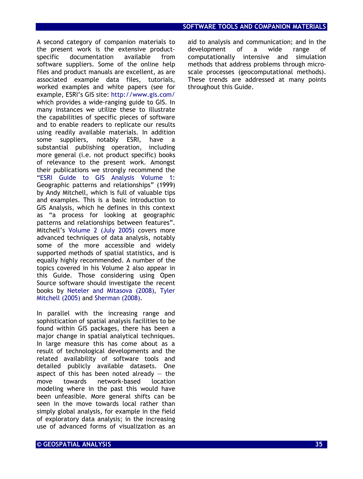A second category of companion materials to the present work is the extensive product specific documentation available from software suppliers. Some of the online help files and product manuals are excellent, as are associated example data files, tutorials, worked examples and white papers (see for example, ESRI's GIS site:<http://www.gis.com/> which provides a wide-ranging guide to GIS. In many instances we utilize these to illustrate the capabilities of specific pieces of software and to enable readers to replicate our results using readily available materials. In addition some suppliers, notably ESRI, have a substantial publishing operation, including more general (i.e. not product specific) books of relevance to the present work. Amongst their publications we strongly recommend the ["ESRI Guide to GIS Analysis Volume 1:](http://www.amazon.com/gp/product/1879102064/) Geographic patterns and relationships" (1999) by Andy Mitchell, which is full of valuable tips and examples. This is a basic introduction to GIS Analysis, which he defines in this context as "a process for looking at geographic patterns and relationships between features". Mitchell's [Volume 2 \(July 2005\)](http://www.amazon.com/gp/product/158948116X/) covers more advanced techniques of data analysis, notably some of the more accessible and widely supported methods of spatial statistics, and is equally highly recommended. A number of the topics covered in his Volume 2 also appear in this Guide. Those considering using Open Source software should investigate the recent books by [Neteler and Mitasova \(2008\),](http://www.grassbook.org/) [Tyler](http://www.oreilly.com/catalog/webmapping/)  [Mitchell \(2005\)](http://www.oreilly.com/catalog/webmapping/) an[d Sherman \(2008\)](http://www.pragprog.com/titles/gsdgis/desktop-gis).

In parallel with the increasing range and sophistication of spatial analysis facilities to be found within GIS packages, there has been a major change in spatial analytical techniques. In large measure this has come about as a result of technological developments and the related availability of software tools and detailed publicly available datasets. One aspect of this has been noted already  $-$  the move towards network-based location modeling where in the past this would have been unfeasible. More general shifts can be seen in the move towards local rather than simply global analysis, for example in the field of exploratory data analysis; in the increasing use of advanced forms of visualization as an aid to analysis and communication; and in the development of a wide range of computationally intensive and simulation methods that address problems through micro scale processes (geocomputational methods). These trends are addressed at many points throughout this Guide.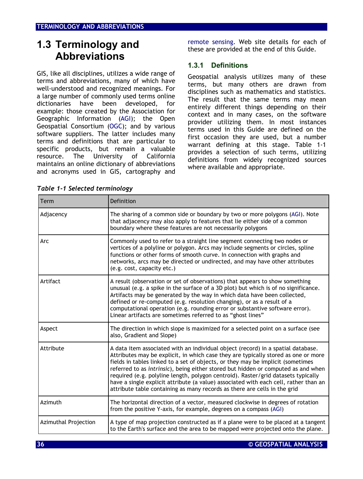# **1.3 Terminology and Abbreviations**

GIS, like all disciplines, utilizes a wide range of terms and abbreviations, many of which have well-understood and recognized meanings. For a large number of commonly used terms online dictionaries have been developed, for example: those created by the Association for Geographic Information [\(AGI\)](http://www.agi.org.uk/); the Open Geospatial Consortium [\(OGC\)](http://www.opengeospatial.org/); and by various software suppliers. The latter includes many terms and definitions that are particular to specific products, but remain a valuable resource. The University of California maintains an online dictionary of abbreviations and acronyms used in GIS, cartography and [remote sensing.](http://rst.gsfc.nasa.gov/) Web site details for each of these are provided at the end of this Guide.

#### **1.3.1 Definitions**

Geospatial analysis utilizes many of these terms, but many others are drawn from disciplines such as mathematics and statistics. The result that the same terms may mean entirely different things depending on their context and in many cases, on the software provider utilizing them. In most instances terms used in this Guide are defined on the first occasion they are used, but a number warrant defining at this stage. Table 1-1 provides a selection of such terms, utilizing definitions from widely recognized sources where available and appropriate.

| Term                 | Definition                                                                                                                                                                                                                                                                                                                                                                                                                                                                                                                                                                                                       |
|----------------------|------------------------------------------------------------------------------------------------------------------------------------------------------------------------------------------------------------------------------------------------------------------------------------------------------------------------------------------------------------------------------------------------------------------------------------------------------------------------------------------------------------------------------------------------------------------------------------------------------------------|
| Adjacency            | The sharing of a common side or boundary by two or more polygons (AGI). Note<br>that adjacency may also apply to features that lie either side of a common<br>boundary where these features are not necessarily polygons                                                                                                                                                                                                                                                                                                                                                                                         |
| Arc                  | Commonly used to refer to a straight line segment connecting two nodes or<br>vertices of a polyline or polygon. Arcs may include segments or circles, spline<br>functions or other forms of smooth curve. In connection with graphs and<br>networks, arcs may be directed or undirected, and may have other attributes<br>(e.g. cost, capacity etc.)                                                                                                                                                                                                                                                             |
| Artifact             | A result (observation or set of observations) that appears to show something<br>unusual (e.g. a spike in the surface of a 3D plot) but which is of no significance.<br>Artifacts may be generated by the way in which data have been collected,<br>defined or re-computed (e.g. resolution changing), or as a result of a<br>computational operation (e.g. rounding error or substantive software error).<br>Linear artifacts are sometimes referred to as "ghost lines"                                                                                                                                         |
| Aspect               | The direction in which slope is maximized for a selected point on a surface (see<br>also, Gradient and Slope)                                                                                                                                                                                                                                                                                                                                                                                                                                                                                                    |
| Attribute            | A data item associated with an individual object (record) in a spatial database.<br>Attributes may be explicit, in which case they are typically stored as one or more<br>fields in tables linked to a set of objects, or they may be implicit (sometimes<br>referred to as <i>intrinsic</i> ), being either stored but hidden or computed as and when<br>required (e.g. polyline length, polygon centroid). Raster/grid datasets typically<br>have a single explicit attribute (a value) associated with each cell, rather than an<br>attribute table containing as many records as there are cells in the grid |
| Azimuth              | The horizontal direction of a vector, measured clockwise in degrees of rotation<br>from the positive Y-axis, for example, degrees on a compass (AGI)                                                                                                                                                                                                                                                                                                                                                                                                                                                             |
| Azimuthal Projection | A type of map projection constructed as if a plane were to be placed at a tangent<br>to the Earth's surface and the area to be mapped were projected onto the plane.                                                                                                                                                                                                                                                                                                                                                                                                                                             |

*Table 1-1 Selected terminology*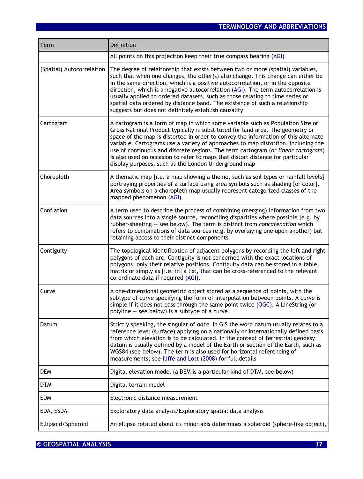| Term                      | Definition                                                                                                                                                                                                                                                                                                                                                                                                                                                                                                                                                                |
|---------------------------|---------------------------------------------------------------------------------------------------------------------------------------------------------------------------------------------------------------------------------------------------------------------------------------------------------------------------------------------------------------------------------------------------------------------------------------------------------------------------------------------------------------------------------------------------------------------------|
|                           | All points on this projection keep their true compass bearing (AGI)                                                                                                                                                                                                                                                                                                                                                                                                                                                                                                       |
| (Spatial) Autocorrelation | The degree of relationship that exists between two or more (spatial) variables,<br>such that when one changes, the other(s) also change. This change can either be<br>in the same direction, which is a positive autocorrelation, or in the opposite<br>direction, which is a negative autocorrelation (AGI). The term autocorrelation is<br>usually applied to ordered datasets, such as those relating to time series or<br>spatial data ordered by distance band. The existence of such a relationship<br>suggests but does not definitely establish causality         |
| Cartogram                 | A cartogram is a form of map in which some variable such as Population Size or<br>Gross National Product typically is substituted for land area. The geometry or<br>space of the map is distorted in order to convey the information of this alternate<br>variable. Cartograms use a variety of approaches to map distortion, including the<br>use of continuous and discrete regions. The term cartogram (or linear cartogram)<br>is also used on occasion to refer to maps that distort distance for particular<br>display purposes, such as the London Underground map |
| Choropleth                | A thematic map [i.e. a map showing a theme, such as soil types or rainfall levels]<br>portraying properties of a surface using area symbols such as shading [or color].<br>Area symbols on a choropleth map usually represent categorized classes of the<br>mapped phenomenon (AGI)                                                                                                                                                                                                                                                                                       |
| Conflation                | A term used to describe the process of combining (merging) information from two<br>data sources into a single source, reconciling disparities where possible (e.g. by<br>rubber-sheeting - see below). The term is distinct from concatenation which<br>refers to combinations of data sources (e.g. by overlaying one upon another) but<br>retaining access to their distinct components                                                                                                                                                                                 |
| Contiguity                | The topological identification of adjacent polygons by recording the left and right<br>polygons of each arc. Contiguity is not concerned with the exact locations of<br>polygons, only their relative positions. Contiguity data can be stored in a table,<br>matrix or simply as [i.e. in] a list, that can be cross-referenced to the relevant<br>co-ordinate data if required (AGI).                                                                                                                                                                                   |
| Curve                     | A one-dimensional geometric object stored as a sequence of points, with the<br>subtype of curve specifying the form of interpolation between points. A curve is<br>simple if it does not pass through the same point twice (OGC). A LineString (or<br>polyline $-$ see below) is a subtype of a curve                                                                                                                                                                                                                                                                     |
| Datum                     | Strictly speaking, the singular of data. In GIS the word datum usually relates to a<br>reference level (surface) applying on a nationally or internationally defined basis<br>from which elevation is to be calculated. In the context of terrestrial geodesy<br>datum is usually defined by a model of the Earth or section of the Earth, such as<br>WGS84 (see below). The term is also used for horizontal referencing of<br>measurements; see Iliffe and Lott (2008) for full details                                                                                 |
| DEM                       | Digital elevation model (a DEM is a particular kind of DTM, see below)                                                                                                                                                                                                                                                                                                                                                                                                                                                                                                    |
| <b>DTM</b>                | Digital terrain model                                                                                                                                                                                                                                                                                                                                                                                                                                                                                                                                                     |
| <b>EDM</b>                | Electronic distance measurement                                                                                                                                                                                                                                                                                                                                                                                                                                                                                                                                           |
| EDA, ESDA                 | Exploratory data analysis/Exploratory spatial data analysis                                                                                                                                                                                                                                                                                                                                                                                                                                                                                                               |
| Ellipsoid/Spheroid        | An ellipse rotated about its minor axis determines a spheroid (sphere-like object),                                                                                                                                                                                                                                                                                                                                                                                                                                                                                       |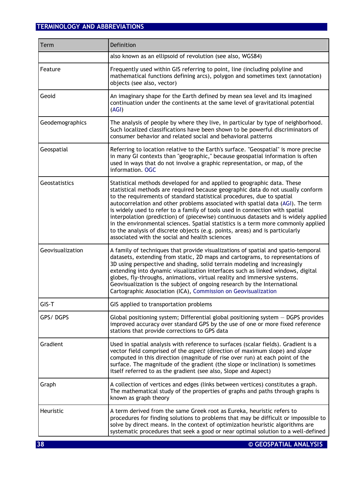#### **TERMINOLOGY AND ABBREVIATIONS**

| Term             | Definition                                                                                                                                                                                                                                                                                                                                                                                                                                                                                                                                                                                                                                                                                                            |
|------------------|-----------------------------------------------------------------------------------------------------------------------------------------------------------------------------------------------------------------------------------------------------------------------------------------------------------------------------------------------------------------------------------------------------------------------------------------------------------------------------------------------------------------------------------------------------------------------------------------------------------------------------------------------------------------------------------------------------------------------|
|                  | also known as an ellipsoid of revolution (see also, WGS84)                                                                                                                                                                                                                                                                                                                                                                                                                                                                                                                                                                                                                                                            |
| Feature          | Frequently used within GIS referring to point, line (including polyline and<br>mathematical functions defining arcs), polygon and sometimes text (annotation)<br>objects (see also, vector)                                                                                                                                                                                                                                                                                                                                                                                                                                                                                                                           |
| Geoid            | An imaginary shape for the Earth defined by mean sea level and its imagined<br>continuation under the continents at the same level of gravitational potential<br>(AGI)                                                                                                                                                                                                                                                                                                                                                                                                                                                                                                                                                |
| Geodemographics  | The analysis of people by where they live, in particular by type of neighborhood.<br>Such localized classifications have been shown to be powerful discriminators of<br>consumer behavior and related social and behavioral patterns                                                                                                                                                                                                                                                                                                                                                                                                                                                                                  |
| Geospatial       | Referring to location relative to the Earth's surface. "Geospatial" is more precise<br>in many GI contexts than "geographic," because geospatial information is often<br>used in ways that do not involve a graphic representation, or map, of the<br>information, OGC                                                                                                                                                                                                                                                                                                                                                                                                                                                |
| Geostatistics    | Statistical methods developed for and applied to geographic data. These<br>statistical methods are required because geographic data do not usually conform<br>to the requirements of standard statistical procedures, due to spatial<br>autocorrelation and other problems associated with spatial data (AGI). The term<br>is widely used to refer to a family of tools used in connection with spatial<br>interpolation (prediction) of (piecewise) continuous datasets and is widely applied<br>in the environmental sciences. Spatial statistics is a term more commonly applied<br>to the analysis of discrete objects (e.g. points, areas) and is particularly<br>associated with the social and health sciences |
| Geovisualization | A family of techniques that provide visualizations of spatial and spatio-temporal<br>datasets, extending from static, 2D maps and cartograms, to representations of<br>3D using perspective and shading, solid terrain modeling and increasingly<br>extending into dynamic visualization interfaces such as linked windows, digital<br>globes, fly-throughs, animations, virtual reality and immersive systems.<br>Geovisualization is the subject of ongoing research by the International<br>Cartographic Association (ICA), Commission on Geovisualization                                                                                                                                                         |
| GIS-T            | GIS applied to transportation problems                                                                                                                                                                                                                                                                                                                                                                                                                                                                                                                                                                                                                                                                                |
| GPS/DGPS         | Global positioning system; Differential global positioning system - DGPS provides<br>improved accuracy over standard GPS by the use of one or more fixed reference<br>stations that provide corrections to GPS data                                                                                                                                                                                                                                                                                                                                                                                                                                                                                                   |
| Gradient         | Used in spatial analysis with reference to surfaces (scalar fields). Gradient is a<br>vector field comprised of the aspect (direction of maximum slope) and slope<br>computed in this direction (magnitude of rise over run) at each point of the<br>surface. The magnitude of the gradient (the slope or inclination) is sometimes<br>itself referred to as the gradient (see also, Slope and Aspect)                                                                                                                                                                                                                                                                                                                |
| Graph            | A collection of vertices and edges (links between vertices) constitutes a graph.<br>The mathematical study of the properties of graphs and paths through graphs is<br>known as graph theory                                                                                                                                                                                                                                                                                                                                                                                                                                                                                                                           |
| Heuristic        | A term derived from the same Greek root as Eureka, heuristic refers to<br>procedures for finding solutions to problems that may be difficult or impossible to<br>solve by direct means. In the context of optimization heuristic algorithms are<br>systematic procedures that seek a good or near optimal solution to a well-defined                                                                                                                                                                                                                                                                                                                                                                                  |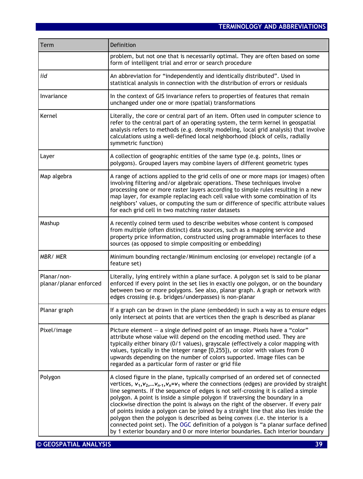| Term                                  | Definition                                                                                                                                                                                                                                                                                                                                                                                                                                                                                                                                                                                                                                                                                                                                                                                           |  |
|---------------------------------------|------------------------------------------------------------------------------------------------------------------------------------------------------------------------------------------------------------------------------------------------------------------------------------------------------------------------------------------------------------------------------------------------------------------------------------------------------------------------------------------------------------------------------------------------------------------------------------------------------------------------------------------------------------------------------------------------------------------------------------------------------------------------------------------------------|--|
|                                       | problem, but not one that is necessarily optimal. They are often based on some<br>form of intelligent trial and error or search procedure                                                                                                                                                                                                                                                                                                                                                                                                                                                                                                                                                                                                                                                            |  |
| iid                                   | An abbreviation for "independently and identically distributed". Used in<br>statistical analysis in connection with the distribution of errors or residuals                                                                                                                                                                                                                                                                                                                                                                                                                                                                                                                                                                                                                                          |  |
| Invariance                            | In the context of GIS invariance refers to properties of features that remain<br>unchanged under one or more (spatial) transformations                                                                                                                                                                                                                                                                                                                                                                                                                                                                                                                                                                                                                                                               |  |
| Kernel                                | Literally, the core or central part of an item. Often used in computer science to<br>refer to the central part of an operating system, the term kernel in geospatial<br>analysis refers to methods (e.g. density modeling, local grid analysis) that involve<br>calculations using a well-defined local neighborhood (block of cells, radially<br>symmetric function)                                                                                                                                                                                                                                                                                                                                                                                                                                |  |
| Layer                                 | A collection of geographic entities of the same type (e.g. points, lines or<br>polygons). Grouped layers may combine layers of different geometric types                                                                                                                                                                                                                                                                                                                                                                                                                                                                                                                                                                                                                                             |  |
| Map algebra                           | A range of actions applied to the grid cells of one or more maps (or images) often<br>involving filtering and/or algebraic operations. These techniques involve<br>processing one or more raster layers according to simple rules resulting in a new<br>map layer, for example replacing each cell value with some combination of its<br>neighbors' values, or computing the sum or difference of specific attribute values<br>for each grid cell in two matching raster datasets                                                                                                                                                                                                                                                                                                                    |  |
| Mashup                                | A recently coined term used to describe websites whose content is composed<br>from multiple (often distinct) data sources, such as a mapping service and<br>property price information, constructed using programmable interfaces to these<br>sources (as opposed to simple compositing or embedding)                                                                                                                                                                                                                                                                                                                                                                                                                                                                                                |  |
| MBR/ MER                              | Minimum bounding rectangle/Minimum enclosing (or envelope) rectangle (of a<br>feature set)                                                                                                                                                                                                                                                                                                                                                                                                                                                                                                                                                                                                                                                                                                           |  |
| Planar/non-<br>planar/planar enforced | Literally, lying entirely within a plane surface. A polygon set is said to be planar<br>enforced if every point in the set lies in exactly one polygon, or on the boundary<br>between two or more polygons. See also, planar graph. A graph or network with<br>edges crossing (e.g. bridges/underpasses) is non-planar                                                                                                                                                                                                                                                                                                                                                                                                                                                                               |  |
| Planar graph                          | If a graph can be drawn in the plane (embedded) in such a way as to ensure edges<br>only intersect at points that are vertices then the graph is described as planar                                                                                                                                                                                                                                                                                                                                                                                                                                                                                                                                                                                                                                 |  |
| Pixel/image                           | Picture element - a single defined point of an image. Pixels have a "color"<br>attribute whose value will depend on the encoding method used. They are<br>typically either binary (0/1 values), grayscale (effectively a color mapping with<br>values, typically in the integer range [0,255]), or color with values from 0<br>upwards depending on the number of colors supported. Image files can be<br>regarded as a particular form of raster or grid file                                                                                                                                                                                                                                                                                                                                       |  |
| Polygon                               | A closed figure in the plane, typically comprised of an ordered set of connected<br>vertices, $v_1, v_2,  v_{n-1}, v_n = v_1$ where the connections (edges) are provided by straight<br>line segments. If the sequence of edges is not self-crossing it is called a simple<br>polygon. A point is inside a simple polygon if traversing the boundary in a<br>clockwise direction the point is always on the right of the observer. If every pair<br>of points inside a polygon can be joined by a straight line that also lies inside the<br>polygon then the polygon is described as being convex (i.e. the interior is a<br>connected point set). The OGC definition of a polygon is "a planar surface defined<br>by 1 exterior boundary and 0 or more interior boundaries. Each interior boundary |  |

 $\blacksquare$ 

 $\overline{\phantom{a}}$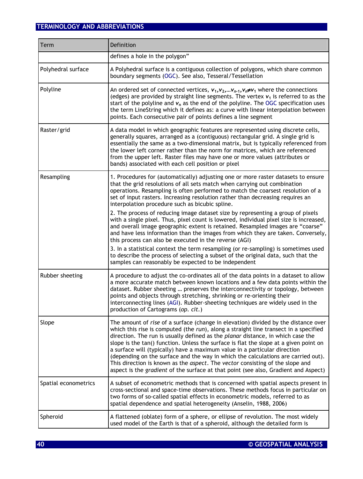#### **TERMINOLOGY AND ABBREVIATIONS**

| Term                 | Definition                                                                                                                                                                                                                                                                                                                                                                                                                                                                                                                                                                                                                                                                                       |
|----------------------|--------------------------------------------------------------------------------------------------------------------------------------------------------------------------------------------------------------------------------------------------------------------------------------------------------------------------------------------------------------------------------------------------------------------------------------------------------------------------------------------------------------------------------------------------------------------------------------------------------------------------------------------------------------------------------------------------|
|                      | defines a hole in the polygon"                                                                                                                                                                                                                                                                                                                                                                                                                                                                                                                                                                                                                                                                   |
| Polyhedral surface   | A Polyhedral surface is a contiguous collection of polygons, which share common<br>boundary segments (OGC). See also, Tesseral/Tessellation                                                                                                                                                                                                                                                                                                                                                                                                                                                                                                                                                      |
| Polyline             | An ordered set of connected vertices, $v_1, v_2,  v_{n-1}, v_n \neq v_1$ where the connections<br>(edges) are provided by straight line segments. The vertex $v_1$ is referred to as the<br>start of the polyline and $v_n$ as the end of the polyline. The OGC specification uses<br>the term LineString which it defines as: a curve with linear interpolation between<br>points. Each consecutive pair of points defines a line segment                                                                                                                                                                                                                                                       |
| Raster/grid          | A data model in which geographic features are represented using discrete cells,<br>generally squares, arranged as a (contiguous) rectangular grid. A single grid is<br>essentially the same as a two-dimensional matrix, but is typically referenced from<br>the lower left corner rather than the norm for matrices, which are referenced<br>from the upper left. Raster files may have one or more values (attributes or<br>bands) associated with each cell position or pixel                                                                                                                                                                                                                 |
| Resampling           | 1. Procedures for (automatically) adjusting one or more raster datasets to ensure<br>that the grid resolutions of all sets match when carrying out combination<br>operations. Resampling is often performed to match the coarsest resolution of a<br>set of input rasters. Increasing resolution rather than decreasing requires an<br>interpolation procedure such as bicubic spline.<br>2. The process of reducing image dataset size by representing a group of pixels                                                                                                                                                                                                                        |
|                      | with a single pixel. Thus, pixel count is lowered, individual pixel size is increased,<br>and overall image geographic extent is retained. Resampled images are "coarse"<br>and have less information than the images from which they are taken. Conversely,<br>this process can also be executed in the reverse (AGI)<br>3. In a statistical context the term resampling (or re-sampling) is sometimes used<br>to describe the process of selecting a subset of the original data, such that the<br>samples can reasonably be expected to be independent                                                                                                                                        |
| Rubber sheeting      | A procedure to adjust the co-ordinates all of the data points in a dataset to allow<br>a more accurate match between known locations and a few data points within the<br>dataset. Rubber sheeting  preserves the interconnectivity or topology, between<br>points and objects through stretching, shrinking or re-orienting their<br>interconnecting lines (AGI). Rubber-sheeting techniques are widely used in the<br>production of Cartograms (op. cit.)                                                                                                                                                                                                                                       |
| Slope                | The amount of rise of a surface (change in elevation) divided by the distance over<br>which this rise is computed (the run), along a straight line transect in a specified<br>direction. The run is usually defined as the planar distance, in which case the<br>slope is the tan() function. Unless the surface is flat the slope at a given point on<br>a surface will (typically) have a maximum value in a particular direction<br>(depending on the surface and the way in which the calculations are carried out).<br>This direction is known as the aspect. The vector consisting of the slope and<br>aspect is the gradient of the surface at that point (see also, Gradient and Aspect) |
| Spatial econometrics | A subset of econometric methods that is concerned with spatial aspects present in<br>cross-sectional and space-time observations. These methods focus in particular on<br>two forms of so-called spatial effects in econometric models, referred to as<br>spatial dependence and spatial heterogeneity (Anselin, 1988, 2006)                                                                                                                                                                                                                                                                                                                                                                     |
| Spheroid             | A flattened (oblate) form of a sphere, or ellipse of revolution. The most widely<br>used model of the Earth is that of a spheroid, although the detailed form is                                                                                                                                                                                                                                                                                                                                                                                                                                                                                                                                 |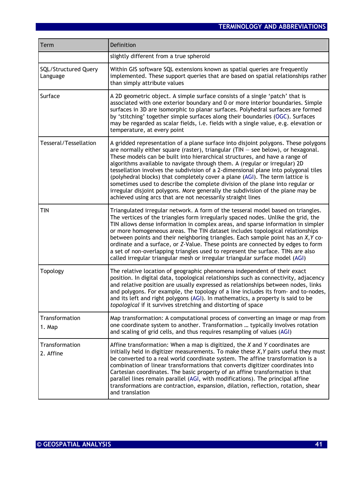| Term                             | Definition                                                                                                                                                                                                                                                                                                                                                                                                                                                                                                                                                                                                                                                                                                                                    |  |
|----------------------------------|-----------------------------------------------------------------------------------------------------------------------------------------------------------------------------------------------------------------------------------------------------------------------------------------------------------------------------------------------------------------------------------------------------------------------------------------------------------------------------------------------------------------------------------------------------------------------------------------------------------------------------------------------------------------------------------------------------------------------------------------------|--|
|                                  | slightly different from a true spheroid                                                                                                                                                                                                                                                                                                                                                                                                                                                                                                                                                                                                                                                                                                       |  |
| SQL/Structured Query<br>Language | Within GIS software SQL extensions known as spatial queries are frequently<br>implemented. These support queries that are based on spatial relationships rather<br>than simply attribute values                                                                                                                                                                                                                                                                                                                                                                                                                                                                                                                                               |  |
| Surface                          | A 2D geometric object. A simple surface consists of a single 'patch' that is<br>associated with one exterior boundary and 0 or more interior boundaries. Simple<br>surfaces in 3D are isomorphic to planar surfaces. Polyhedral surfaces are formed<br>by 'stitching' together simple surfaces along their boundaries (OGC). Surfaces<br>may be regarded as scalar fields, i.e. fields with a single value, e.g. elevation or<br>temperature, at every point                                                                                                                                                                                                                                                                                  |  |
| Tesseral/Tessellation            | A gridded representation of a plane surface into disjoint polygons. These polygons<br>are normally either square (raster), triangular (TIN - see below), or hexagonal.<br>These models can be built into hierarchical structures, and have a range of<br>algorithms available to navigate through them. A (regular or irregular) 2D<br>tessellation involves the subdivision of a 2-dimensional plane into polygonal tiles<br>(polyhedral blocks) that completely cover a plane (AGI). The term lattice is<br>sometimes used to describe the complete division of the plane into regular or<br>irregular disjoint polygons. More generally the subdivision of the plane may be<br>achieved using arcs that are not necessarily straight lines |  |
| <b>TIN</b>                       | Triangulated irregular network. A form of the tesseral model based on triangles.<br>The vertices of the triangles form irregularly spaced nodes. Unlike the grid, the<br>TIN allows dense information in complex areas, and sparse information in simpler<br>or more homogeneous areas. The TIN dataset includes topological relationships<br>between points and their neighboring triangles. Each sample point has an $X, Y$ co-<br>ordinate and a surface, or Z-Value. These points are connected by edges to form<br>a set of non-overlapping triangles used to represent the surface. TINs are also<br>called irregular triangular mesh or irregular triangular surface model (AGI)                                                       |  |
| Topology                         | The relative location of geographic phenomena independent of their exact<br>position. In digital data, topological relationships such as connectivity, adjacency<br>and relative position are usually expressed as relationships between nodes, links<br>and polygons. For example, the topology of a line includes its from- and to-nodes,<br>and its left and right polygons (AGI). In mathematics, a property is said to be<br>topological if it survives stretching and distorting of space                                                                                                                                                                                                                                               |  |
| Transformation<br>1. Map         | Map transformation: A computational process of converting an image or map from<br>one coordinate system to another. Transformation  typically involves rotation<br>and scaling of grid cells, and thus requires resampling of values (AGI)                                                                                                                                                                                                                                                                                                                                                                                                                                                                                                    |  |
| Transformation<br>2. Affine      | Affine transformation: When a map is digitized, the $X$ and $Y$ coordinates are<br>initially held in digitizer measurements. To make these $X, Y$ pairs useful they must<br>be converted to a real world coordinate system. The affine transformation is a<br>combination of linear transformations that converts digitizer coordinates into<br>Cartesian coordinates. The basic property of an affine transformation is that<br>parallel lines remain parallel (AGI, with modifications). The principal affine<br>transformations are contraction, expansion, dilation, reflection, rotation, shear<br>and translation                                                                                                                       |  |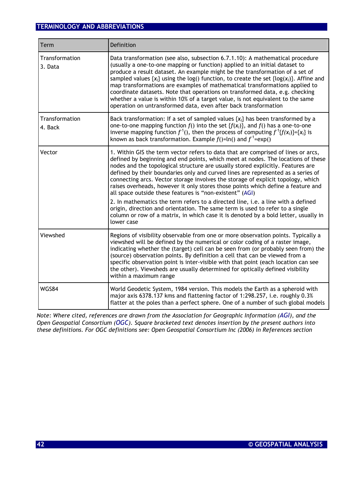#### **TERMINOLOGY AND ABBREVIATIONS**

| Term                      | Definition                                                                                                                                                                                                                                                                                                                                                                                                                                                                                                                                                                                                                                                                                                                                                                                                                                                 |
|---------------------------|------------------------------------------------------------------------------------------------------------------------------------------------------------------------------------------------------------------------------------------------------------------------------------------------------------------------------------------------------------------------------------------------------------------------------------------------------------------------------------------------------------------------------------------------------------------------------------------------------------------------------------------------------------------------------------------------------------------------------------------------------------------------------------------------------------------------------------------------------------|
| Transformation<br>3. Data | Data transformation (see also, subsection 6.7.1.10): A mathematical procedure<br>(usually a one-to-one mapping or function) applied to an initial dataset to<br>produce a result dataset. An example might be the transformation of a set of<br>sampled values $\{x_i\}$ using the log() function, to create the set $\{log(x_i)\}\$ . Affine and<br>map transformations are examples of mathematical transformations applied to<br>coordinate datasets. Note that operations on transformed data, e.g. checking<br>whether a value is within 10% of a target value, is not equivalent to the same<br>operation on untransformed data, even after back transformation                                                                                                                                                                                      |
| Transformation<br>4. Back | Back transformation: If a set of sampled values $\{x_i\}$ has been transformed by a<br>one-to-one mapping function $f()$ into the set $\{f(x_i)\}\$ , and $f()$ has a one-to-one<br>inverse mapping function $f^1()$ , then the process of computing $f^1\{f(x_i)\}=\{x_i\}$ is<br>known as back transformation. Example $f()$ =ln() and $f^1$ =exp()                                                                                                                                                                                                                                                                                                                                                                                                                                                                                                      |
| Vector                    | 1. Within GIS the term vector refers to data that are comprised of lines or arcs,<br>defined by beginning and end points, which meet at nodes. The locations of these<br>nodes and the topological structure are usually stored explicitly. Features are<br>defined by their boundaries only and curved lines are represented as a series of<br>connecting arcs. Vector storage involves the storage of explicit topology, which<br>raises overheads, however it only stores those points which define a feature and<br>all space outside these features is "non-existent" (AGI)<br>2. In mathematics the term refers to a directed line, i.e. a line with a defined<br>origin, direction and orientation. The same term is used to refer to a single<br>column or row of a matrix, in which case it is denoted by a bold letter, usually in<br>lower case |
| Viewshed                  | Regions of visibility observable from one or more observation points. Typically a<br>viewshed will be defined by the numerical or color coding of a raster image,<br>indicating whether the (target) cell can be seen from (or probably seen from) the<br>(source) observation points. By definition a cell that can be viewed from a<br>specific observation point is inter-visible with that point (each location can see<br>the other). Viewsheds are usually determined for optically defined visibility<br>within a maximum range                                                                                                                                                                                                                                                                                                                     |
| WGS84                     | World Geodetic System, 1984 version. This models the Earth as a spheroid with<br>major axis 6378.137 kms and flattening factor of 1:298.257, i.e. roughly 0.3%<br>flatter at the poles than a perfect sphere. One of a number of such global models                                                                                                                                                                                                                                                                                                                                                                                                                                                                                                                                                                                                        |

*Note: Where cited, references are drawn from the Association for Geographic Information ([AGI](http://www.agi.org.uk/)), and the Open Geospatial Consortium ([OGC](http://www.opengeospatial.org/)). Square bracketed text denotes insertion by the present authors into these definitions. For OGC definitions see: Open Geospatial Consortium Inc (2006) in References section*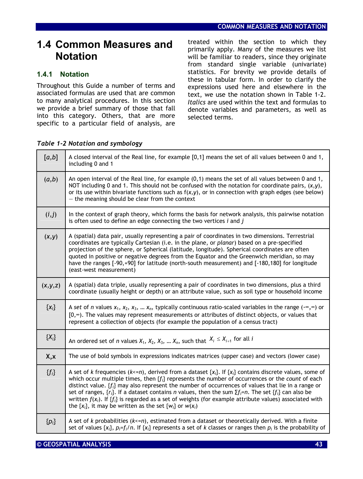### **1.4 Common Measures and Notation**

#### **1.4.1 Notation**

Throughout this Guide a number of terms and associated formulas are used that are common to many analytical procedures. In this section we provide a brief summary of those that fall into this category. Others, that are more specific to a particular field of analysis, are treated within the section to which they primarily apply. Many of the measures we list will be familiar to readers, since they originate from standard single variable (univariate) statistics. For brevity we provide details of these in tabular form. In order to clarify the expressions used here and elsewhere in the text, we use the notation shown in Table 1-2. *Italics* are used within the text and formulas to denote variables and parameters, as well as selected terms.

| Table 1-2 Notation and symbology |
|----------------------------------|
|----------------------------------|

| [a,b]     | A closed interval of the Real line, for example [0,1] means the set of all values between 0 and 1,<br>including 0 and 1                                                                                                                                                                                                                                                                                                                                                                                                                                                                                                                                        |
|-----------|----------------------------------------------------------------------------------------------------------------------------------------------------------------------------------------------------------------------------------------------------------------------------------------------------------------------------------------------------------------------------------------------------------------------------------------------------------------------------------------------------------------------------------------------------------------------------------------------------------------------------------------------------------------|
| (a,b)     | An open interval of the Real line, for example $(0,1)$ means the set of all values between 0 and 1,<br>NOT including 0 and 1. This should not be confused with the notation for coordinate pairs, $(x,y)$ ,<br>or its use within bivariate functions such as $f(x,y)$ , or in connection with graph edges (see below)<br>- the meaning should be clear from the context                                                                                                                                                                                                                                                                                        |
| (i,j)     | In the context of graph theory, which forms the basis for network analysis, this pairwise notation<br>is often used to define an edge connecting the two vertices $i$ and $j$                                                                                                                                                                                                                                                                                                                                                                                                                                                                                  |
| (x,y)     | A (spatial) data pair, usually representing a pair of coordinates in two dimensions. Terrestrial<br>coordinates are typically Cartesian (i.e. in the plane, or planar) based on a pre-specified<br>projection of the sphere, or Spherical (latitude, longitude). Spherical coordinates are often<br>quoted in positive or negative degrees from the Equator and the Greenwich meridian, so may<br>have the ranges [-90,+90] for latitude (north-south measurement) and [-180,180] for longitude<br>(east-west measurement)                                                                                                                                     |
| (x,y,z)   | A (spatial) data triple, usually representing a pair of coordinates in two dimensions, plus a third<br>coordinate (usually height or depth) or an attribute value, such as soil type or household income                                                                                                                                                                                                                                                                                                                                                                                                                                                       |
| $\{x_i\}$ | A set of n values $x_1, x_2, x_3,  x_n$ , typically continuous ratio-scaled variables in the range $(-\infty, \infty)$ or<br>[0,~). The values may represent measurements or attributes of distinct objects, or values that<br>represent a collection of objects (for example the population of a census tract)                                                                                                                                                                                                                                                                                                                                                |
| $\{X_i\}$ | An ordered set of <i>n</i> values $X_1$ , $X_2$ , $X_3$ , $X_n$ , such that $X_i \leq X_{i+1}$ for all <i>i</i>                                                                                                                                                                                                                                                                                                                                                                                                                                                                                                                                                |
| X, X      | The use of bold symbols in expressions indicates matrices (upper case) and vectors (lower case)                                                                                                                                                                                                                                                                                                                                                                                                                                                                                                                                                                |
| ${f_i}$   | A set of k frequencies (k <= n), derived from a dataset $\{x_i\}$ . If $\{x_i\}$ contains discrete values, some of<br>which occur multiple times, then $\{f_i\}$ represents the number of occurrences or the count of each<br>distinct value. $\{f_i\}$ may also represent the number of occurrences of values that lie in a range or<br>set of ranges, $\{r_i\}$ . If a dataset contains <i>n</i> values, then the sum $\sum f_i = n$ . The set $\{f_i\}$ can also be<br>written $f(x_i)$ . If $\{f_i\}$ is regarded as a set of weights (for example attribute values) associated with<br>the $\{x_i\}$ , it may be written as the set $\{w_i\}$ or $w(x_i)$ |
| $\{p_i\}$ | A set of k probabilities (k <= n), estimated from a dataset or theoretically derived. With a finite<br>set of values $\{x_i\}$ , $p_i = f_i/n$ . If $\{x_i\}$ represents a set of k classes or ranges then $p_i$ is the probability of                                                                                                                                                                                                                                                                                                                                                                                                                         |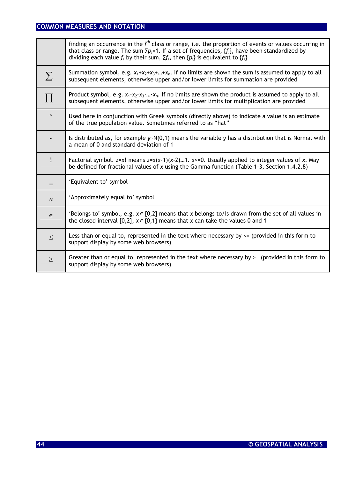#### **COMMON MEASURES AND NOTATION**

|                       | finding an occurrence in the $ith$ class or range, i.e. the proportion of events or values occurring in<br>that class or range. The sum $\Sigma p_i=1$ . If a set of frequencies, $\{f_i\}$ , have been standardized by<br>dividing each value $f_i$ by their sum, $\Sigma f_i$ , then $\{p_i\}$ is equivalent to $\{f_i\}$ |
|-----------------------|-----------------------------------------------------------------------------------------------------------------------------------------------------------------------------------------------------------------------------------------------------------------------------------------------------------------------------|
| $\sum$                | Summation symbol, e.g. $x_1+x_2+x_3++x_n$ . If no limits are shown the sum is assumed to apply to all<br>subsequent elements, otherwise upper and/or lower limits for summation are provided                                                                                                                                |
| $\prod$               | Product symbol, e.g. $x_1 \cdot x_2 \cdot x_3 \cdot  \cdot x_n$ . If no limits are shown the product is assumed to apply to all<br>subsequent elements, otherwise upper and/or lower limits for multiplication are provided                                                                                                 |
| $\boldsymbol{\wedge}$ | Used here in conjunction with Greek symbols (directly above) to indicate a value is an estimate<br>of the true population value. Sometimes referred to as "hat"                                                                                                                                                             |
|                       | Is distributed as, for example $y-N(0,1)$ means the variable y has a distribution that is Normal with<br>a mean of 0 and standard deviation of 1                                                                                                                                                                            |
| $\mathbf{I}$          | Factorial symbol. $z=x!$ means $z=x(x-1)(x-2)1$ . $x>=0$ . Usually applied to integer values of x. May<br>be defined for fractional values of x using the Gamma function (Table 1-3, Section 1.4.2.8)                                                                                                                       |
| $\equiv$              | 'Equivalent to' symbol                                                                                                                                                                                                                                                                                                      |
| $\approx$             | 'Approximately equal to' symbol                                                                                                                                                                                                                                                                                             |
| $\in$                 | 'Belongs to' symbol, e.g. $x \in [0,2]$ means that x belongs to/is drawn from the set of all values in<br>the closed interval [0,2]; $x \in \{0,1\}$ means that x can take the values 0 and 1                                                                                                                               |
| $\leq$                | Less than or equal to, represented in the text where necessary by $\leq$ (provided in this form to<br>support display by some web browsers)                                                                                                                                                                                 |
| $\geq$                | Greater than or equal to, represented in the text where necessary by $>=($ provided in this form to<br>support display by some web browsers)                                                                                                                                                                                |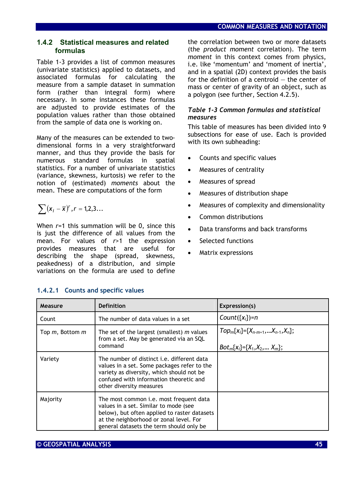#### **1.4.2 Statistical measures and related formulas**

Table 1-3 provides a list of common measures (univariate statistics) applied to datasets, and associated formulas for calculating the measure from a sample dataset in summation form (rather than integral form) where necessary. In some instances these formulas are adjusted to provide estimates of the population values rather than those obtained from the sample of data one is working on.

Many of the measures can be extended to two dimensional forms in a very straightforward manner, and thus they provide the basis for<br>numerous standard formulas in spatial numerous standard formulas in spatial statistics. For a number of univariate statistics  $\bullet$ (variance, skewness, kurtosis) we refer to the notion of  $(\text{estimated})$  moments about the  $\bullet$ notion of (estimated) *moments* about the mean. These are computations of the form

$$
\sum (x_i - \overline{x})^r, r = 1, 2, 3, \dots
$$

When  $r=1$  this summation will be 0, since this is just the difference of all values from the mean. For values of *r*>1 the expression provides measures that are useful for<br>describing the shape (spread, skewness, peakedness) of a distribution, and simple variations on the formula are used to define

the correlation between two or more datasets (the *product moment* correlation). The term *moment* in this context comes from physics, i.e. like 'momentum' and 'moment of inertia', and in a spatial (2D) context provides the basis for the definition of a centroid — the center of mass or center of gravity of an object, such as a polygon (see further, Section 4.2.5).

#### *Table 1-3 Common formulas and statistical measures*

This table of measures has been divided into 9 subsections for ease of use. Each is provided with its own subheading:

- Counts and specific values
- Measures of centrality
- Measures of spread
- Measures of distribution shape
- Measures of complexity and dimensionality
- Common distributions
- Data transforms and back transforms
- Selected functions
- Matrix expressions

| Measure         | <b>Definition</b>                                                                                                                                                                                                              | Expression(s)                                                                             |
|-----------------|--------------------------------------------------------------------------------------------------------------------------------------------------------------------------------------------------------------------------------|-------------------------------------------------------------------------------------------|
| Count           | The number of data values in a set                                                                                                                                                                                             | Count( ${x_i}$ )=n                                                                        |
| Top m, Bottom m | The set of the largest (smallest) m values<br>from a set. May be generated via an SQL<br>command                                                                                                                               | $Top_m\{x_i\} = \{X_{n-m+1},X_{n-1},X_n\};$<br>$Bot_m\{x_i\} = \{X_1, X_2, \ldots X_m\};$ |
| Variety         | The number of distinct i.e. different data<br>values in a set. Some packages refer to the<br>variety as diversity, which should not be<br>confused with information theoretic and<br>other diversity measures                  |                                                                                           |
| Majority        | The most common <i>i.e.</i> most frequent data<br>values in a set. Similar to mode (see<br>below), but often applied to raster datasets<br>at the neighborhood or zonal level. For<br>general datasets the term should only be |                                                                                           |

#### **1.4.2.1 Counts and specific values**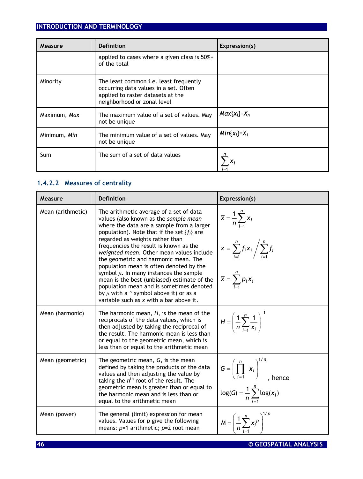#### **INTRODUCTION AND TERMINOLOGY**

| Measure      | <b>Definition</b>                                                                                                                                          | Expression(s)      |
|--------------|------------------------------------------------------------------------------------------------------------------------------------------------------------|--------------------|
|              | applied to cases where a given class is 50%+<br>of the total                                                                                               |                    |
| Minority     | The least common <i>i.e.</i> least frequently<br>occurring data values in a set. Often<br>applied to raster datasets at the<br>neighborhood or zonal level |                    |
| Maximum, Max | The maximum value of a set of values. May<br>not be unique                                                                                                 | $Max\{x_i\} = X_n$ |
| Minimum, Min | The minimum value of a set of values. May<br>not be unique                                                                                                 | $Min\{x_i\} = X_1$ |
| Sum          | The sum of a set of data values                                                                                                                            |                    |

#### **1.4.2.2 Measures of centrality**

|                                |                                                                                                                                                                                                                                                                                                                                                                                                                                                                                                                                                                                                                                       | $\sum x_i$                                                                                                                                           |  |
|--------------------------------|---------------------------------------------------------------------------------------------------------------------------------------------------------------------------------------------------------------------------------------------------------------------------------------------------------------------------------------------------------------------------------------------------------------------------------------------------------------------------------------------------------------------------------------------------------------------------------------------------------------------------------------|------------------------------------------------------------------------------------------------------------------------------------------------------|--|
| 1.4.2.2 Measures of centrality |                                                                                                                                                                                                                                                                                                                                                                                                                                                                                                                                                                                                                                       |                                                                                                                                                      |  |
| Measure                        | <b>Definition</b>                                                                                                                                                                                                                                                                                                                                                                                                                                                                                                                                                                                                                     | Expression(s)                                                                                                                                        |  |
| Mean (arithmetic)              | The arithmetic average of a set of data<br>values (also known as the sample mean<br>where the data are a sample from a larger<br>population). Note that if the set $\{f_i\}$ are<br>regarded as weights rather than<br>frequencies the result is known as the<br>weighted mean. Other mean values include<br>the geometric and harmonic mean. The<br>population mean is often denoted by the<br>symbol $\mu$ . In many instances the sample<br>mean is the best (unbiased) estimate of the<br>population mean and is sometimes denoted<br>by $\mu$ with a $\land$ symbol above it) or as a<br>variable such as x with a bar above it. | $\overline{x} = \frac{1}{n} \sum_{i=1}^{n} x_i$<br>$\overline{x} = \sum_{i=1}^n f_i x_i / \sum_{i=1}^n f_i$<br>$\overline{x} = \sum_{i=1}^n p_i x_i$ |  |
| Mean (harmonic)                | The harmonic mean, $H$ , is the mean of the<br>reciprocals of the data values, which is<br>then adjusted by taking the reciprocal of<br>the result. The harmonic mean is less than<br>or equal to the geometric mean, which is<br>less than or equal to the arithmetic mean                                                                                                                                                                                                                                                                                                                                                           | $H = \left(\frac{1}{n}\sum_{i=1}^{n}\frac{1}{x_i}\right)^{-1}$                                                                                       |  |
| Mean (geometric)               | The geometric mean, $G$ , is the mean<br>defined by taking the products of the data<br>values and then adjusting the value by<br>taking the $n^{\text{th}}$ root of the result. The<br>geometric mean is greater than or equal to<br>the harmonic mean and is less than or<br>equal to the arithmetic mean                                                                                                                                                                                                                                                                                                                            | $G = \left(\prod_{i=1}^n x_i\right)^{1/n}$<br>, hence<br>$\log(G) = \frac{1}{n} \sum_{i=1}^{n} \log(x_i)$                                            |  |
| Mean (power)                   | The general (limit) expression for mean<br>values. Values for $p$ give the following<br>means: $p=1$ arithmetic; $p=2$ root mean                                                                                                                                                                                                                                                                                                                                                                                                                                                                                                      | $\left(\frac{1}{n}\sum_{i=1}^{n}x_{i}^{p}\right)$<br>$M =$                                                                                           |  |
| 46                             |                                                                                                                                                                                                                                                                                                                                                                                                                                                                                                                                                                                                                                       | © GEOSPATIAL ANALYSIS                                                                                                                                |  |
|                                |                                                                                                                                                                                                                                                                                                                                                                                                                                                                                                                                                                                                                                       |                                                                                                                                                      |  |
|                                |                                                                                                                                                                                                                                                                                                                                                                                                                                                                                                                                                                                                                                       |                                                                                                                                                      |  |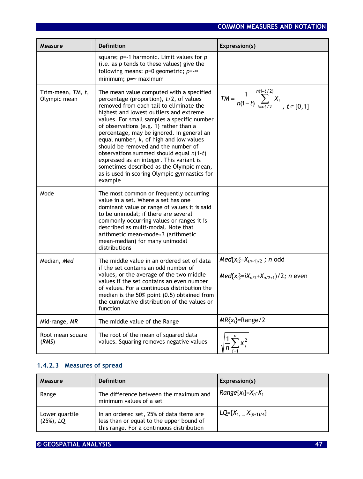|                                   |                                                                                                                                                                                                                                                                                                                                                                                                                                                                                                                                                                                                      | <b>COMMON MEASURES AND NOTATION</b>                                            |
|-----------------------------------|------------------------------------------------------------------------------------------------------------------------------------------------------------------------------------------------------------------------------------------------------------------------------------------------------------------------------------------------------------------------------------------------------------------------------------------------------------------------------------------------------------------------------------------------------------------------------------------------------|--------------------------------------------------------------------------------|
| Measure                           | <b>Definition</b>                                                                                                                                                                                                                                                                                                                                                                                                                                                                                                                                                                                    | Expression(s)                                                                  |
|                                   | square; $p=1$ harmonic. Limit values for $p$<br>(i.e. as $p$ tends to these values) give the<br>following means: $p=0$ geometric; $p=-\infty$<br>minimum; $p = \infty$ maximum                                                                                                                                                                                                                                                                                                                                                                                                                       |                                                                                |
| Trim-mean, TM, t,<br>Olympic mean | The mean value computed with a specified<br>percentage (proportion), t/2, of values<br>removed from each tail to eliminate the<br>highest and lowest outliers and extreme<br>values. For small samples a specific number<br>of observations (e.g. 1) rather than a<br>percentage, may be ignored. In general an<br>equal number, $k$ , of high and low values<br>should be removed and the number of<br>observations summed should equal $n(1-t)$<br>expressed as an integer. This variant is<br>sometimes described as the Olympic mean,<br>as is used in scoring Olympic gymnastics for<br>example | TM = $\frac{1}{n(1-t)} \sum_{i=nt/2}^{n(1-t/2)} X_i$ , $t \in [0,1]$           |
| Mode                              | The most common or frequently occurring<br>value in a set. Where a set has one<br>dominant value or range of values it is said<br>to be unimodal; if there are several<br>commonly occurring values or ranges it is<br>described as multi-modal. Note that<br>arithmetic mean-mode≈3 (arithmetic<br>mean-median) for many unimodal<br>distributions                                                                                                                                                                                                                                                  |                                                                                |
| Median, Med                       | The middle value in an ordered set of data<br>if the set contains an odd number of<br>values, or the average of the two middle<br>values if the set contains an even number<br>of values. For a continuous distribution the<br>median is the 50% point (0.5) obtained from<br>the cumulative distribution of the values or<br>function                                                                                                                                                                                                                                                               | $Med{x_i} = X_{(n+1)/2}$ ; n odd<br>$Med{x_i} = iX_{n/2}+X_{n/2+1}/2$ ; n even |
| Mid-range, MR                     | The middle value of the Range                                                                                                                                                                                                                                                                                                                                                                                                                                                                                                                                                                        | $MR{x_i}$ =Range/2                                                             |
| Root mean square<br>(RMS)         | The root of the mean of squared data<br>values. Squaring removes negative values                                                                                                                                                                                                                                                                                                                                                                                                                                                                                                                     | $\frac{1}{n}\sum_{i=1}^n x_i^2$                                                |

#### **1.4.2.3 Measures of spread**

| Measure                        | <b>Definition</b>                                                                                                                 | Expression(s)                    |
|--------------------------------|-----------------------------------------------------------------------------------------------------------------------------------|----------------------------------|
| Range                          | The difference between the maximum and<br>minimum values of a set                                                                 | $Range\{x_i\} = X_n - X_1$       |
| Lower quartile<br>$(25%)$ , LQ | In an ordered set, 25% of data items are<br>less than or equal to the upper bound of<br>this range. For a continuous distribution | $LQ = {X_{1,\dots} X_{(n+1)/4}}$ |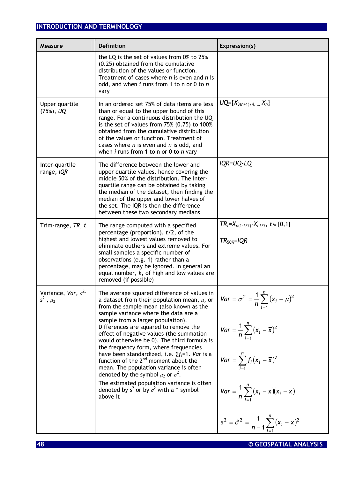#### **INTRODUCTION AND TERMINOLOGY**

| Measure                                          | <b>Definition</b>                                                                                                                                                                                                                                                                                                                                                                                                                                                                                                                                                                                                                                             | Expression(s)                                                                                                                                                                 |
|--------------------------------------------------|---------------------------------------------------------------------------------------------------------------------------------------------------------------------------------------------------------------------------------------------------------------------------------------------------------------------------------------------------------------------------------------------------------------------------------------------------------------------------------------------------------------------------------------------------------------------------------------------------------------------------------------------------------------|-------------------------------------------------------------------------------------------------------------------------------------------------------------------------------|
|                                                  | the LQ is the set of values from 0% to 25%<br>(0.25) obtained from the cumulative<br>distribution of the values or function.<br>Treatment of cases where $n$ is even and $n$ is<br>odd, and when <i>i</i> runs from 1 to n or 0 to n<br>vary                                                                                                                                                                                                                                                                                                                                                                                                                  |                                                                                                                                                                               |
| Upper quartile<br>$(75%)$ , UQ                   | In an ordered set 75% of data items are less<br>than or equal to the upper bound of this<br>range. For a continuous distribution the UQ<br>is the set of values from 75% (0.75) to 100%<br>obtained from the cumulative distribution<br>of the values or function. Treatment of<br>cases where $n$ is even and $n$ is odd, and<br>when $i$ runs from 1 to n or 0 to $n$ vary                                                                                                                                                                                                                                                                                  | $UQ = {X_{3(n+1)/4,  X_n}}$                                                                                                                                                   |
| Inter-quartile<br>range, IQR                     | The difference between the lower and<br>upper quartile values, hence covering the<br>middle 50% of the distribution. The inter-<br>quartile range can be obtained by taking<br>the median of the dataset, then finding the<br>median of the upper and lower halves of<br>the set. The IQR is then the difference<br>between these two secondary medians                                                                                                                                                                                                                                                                                                       | IQR=UQ-LQ                                                                                                                                                                     |
| Trim-range, TR, t                                | The range computed with a specified<br>percentage (proportion), t/2, of the<br>highest and lowest values removed to<br>eliminate outliers and extreme values. For<br>small samples a specific number of<br>observations (e.g. 1) rather than a<br>percentage, may be ignored. In general an<br>equal number, $k$ , of high and low values are<br>removed (if possible)                                                                                                                                                                                                                                                                                        | $TR_t = X_{n(1-t/2)} - X_{nt/2}, t \in [0,1]$<br>$TR_{50\%}$ =IQR                                                                                                             |
| Variance, Var, $\sigma^{2}$ ,<br>$s^2$ , $\mu_2$ | The average squared difference of values in<br>a dataset from their population mean, $\mu$ , or<br>from the sample mean (also known as the<br>sample variance where the data are a<br>sample from a larger population).<br>Differences are squared to remove the<br>effect of negative values (the summation<br>would otherwise be 0). The third formula is<br>the frequency form, where frequencies<br>have been standardized, i.e. $\Sigma f_i = 1$ . Var is a<br>function of the 2 <sup>nd</sup> moment about the<br>mean. The population variance is often<br>denoted by the symbol $\mu_2$ or $\sigma^2$ .<br>The estimated population variance is often | $Var = \sigma^2 = \frac{1}{n} \sum_{i=1}^{n} (x_i - \mu)^2$<br>$Var = \frac{1}{n} \sum_{i=1}^{n} (x_i - \overline{x})^2$<br>$Var = \sum_{i=1}^{n} f_i (x_i - \overline{x})^2$ |
|                                                  | denoted by $s^2$ or by $\sigma^2$ with a $\gamma$ symbol<br>above it                                                                                                                                                                                                                                                                                                                                                                                                                                                                                                                                                                                          | $Var = \frac{1}{n} \sum_{i=1}^{n} (x_i - \bar{x})(x_i - \bar{x})$<br>$s^2 = \hat{\sigma}^2 = \frac{1}{n-1} \sum_{i=1}^n (x_i - \overline{x})^2$                               |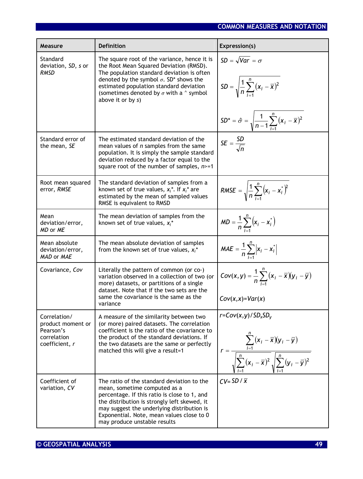| Measure                                                                         | <b>Definition</b>                                                                                                                                                                                                                                                                                                           | Expression(s)                                                                                                                                                                              |
|---------------------------------------------------------------------------------|-----------------------------------------------------------------------------------------------------------------------------------------------------------------------------------------------------------------------------------------------------------------------------------------------------------------------------|--------------------------------------------------------------------------------------------------------------------------------------------------------------------------------------------|
| Standard<br>deviation, SD, s or<br><b>RMSD</b>                                  | The square root of the variance, hence it is<br>the Root Mean Squared Deviation (RMSD).<br>The population standard deviation is often<br>denoted by the symbol $\sigma$ . SD <sup>*</sup> shows the<br>estimated population standard deviation<br>(sometimes denoted by $\sigma$ with a $\land$ symbol<br>above it or by s) | $SD = \sqrt{Var} = \sigma$<br>$SD = \sqrt{\frac{1}{n} \sum_{i=1}^{n} (x_i - \bar{x})^2}$                                                                                                   |
|                                                                                 |                                                                                                                                                                                                                                                                                                                             | $\int$ SD* = $\hat{\sigma} = \sqrt{\frac{1}{n-1} \sum_{i=1}^{n} (x_i - \bar{x})^2}$                                                                                                        |
| Standard error of<br>the mean, SE                                               | The estimated standard deviation of the<br>mean values of <i>n</i> samples from the same<br>population. It is simply the sample standard<br>deviation reduced by a factor equal to the<br>square root of the number of samples, $n>=1$                                                                                      | $SE = \frac{SD}{\sqrt{n}}$                                                                                                                                                                 |
| Root mean squared<br>error, RMSE                                                | The standard deviation of samples from a<br>known set of true values, $x_i^*$ . If $x_i^*$ are<br>estimated by the mean of sampled values<br>RMSE is equivalent to RMSD                                                                                                                                                     | RMSE = $\sqrt{\frac{1}{n} \sum_{i=1}^{n} (x_i - x_i^*)^2}$                                                                                                                                 |
| Mean<br>deviation/error,<br>MD or ME                                            | The mean deviation of samples from the<br>known set of true values, $x_i^*$                                                                                                                                                                                                                                                 | $MD = \frac{1}{n} \sum_{i=1}^{n} (x_i - x_i^*)$                                                                                                                                            |
| Mean absolute<br>deviation/error,<br>MAD or MAE                                 | The mean absolute deviation of samples<br>from the known set of true values, $x_i^*$                                                                                                                                                                                                                                        | $MAE = \frac{1}{n} \sum_{i=1}^{n}  x_i - x_i^* $                                                                                                                                           |
| Covariance, Cov                                                                 | Literally the pattern of common (or co-)<br>variation observed in a collection of two (or<br>more) datasets, or partitions of a single<br>dataset. Note that if the two sets are the<br>same the covariance is the same as the<br>variance                                                                                  | $Cov(x, y) = \frac{1}{n} \sum_{i=1}^{n} (x_i - \overline{x})(y_i - \overline{y})$<br>$Cov(x,x)=Var(x)$                                                                                     |
| Correlation/<br>product moment or<br>Pearson's<br>correlation<br>coefficient, r | A measure of the similarity between two<br>(or more) paired datasets. The correlation<br>coefficient is the ratio of the covariance to<br>the product of the standard deviations. If<br>the two datasets are the same or perfectly<br>matched this will give a result=1                                                     | $r = Cov(x,y)/SD_xSD_v$<br>$r = \frac{\sum_{i=1}^{n} (x_i - \overline{x})(y_i - \overline{y})}{\sqrt{\sum_{i=1}^{n} (x_i - \overline{x})^2} \sqrt{\sum_{i=1}^{n} (y_i - \overline{y})^2}}$ |
| Coefficient of<br>variation, CV                                                 | The ratio of the standard deviation to the<br>mean, sometime computed as a<br>percentage. If this ratio is close to 1, and<br>the distribution is strongly left skewed, it<br>may suggest the underlying distribution is<br>Exponential. Note, mean values close to 0<br>may produce unstable results                       | $CV = SD / \bar{x}$                                                                                                                                                                        |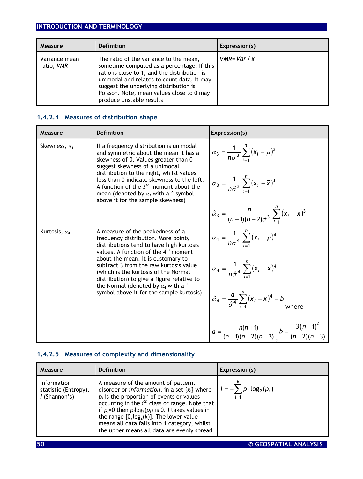#### **INTRODUCTION AND TERMINOLOGY**

| Measure                     | <b>Definition</b>                                                                                                                                                                                                                                                                                     | Expression(s)            |
|-----------------------------|-------------------------------------------------------------------------------------------------------------------------------------------------------------------------------------------------------------------------------------------------------------------------------------------------------|--------------------------|
| Variance mean<br>ratio, VMR | The ratio of the variance to the mean,<br>sometime computed as a percentage. If this<br>ratio is close to 1, and the distribution is<br>unimodal and relates to count data, it may<br>suggest the underlying distribution is<br>Poisson. Note, mean values close to 0 may<br>produce unstable results | VMR=Var / $\overline{x}$ |

#### **1.4.2.4 Measures of distribution shape**

| Measure              | <b>Definition</b>                                                                                                                                                                                                                                                                                                                                                                                                                              | Expression(s)                                                                                                                                                                                                                                                                                                                          |
|----------------------|------------------------------------------------------------------------------------------------------------------------------------------------------------------------------------------------------------------------------------------------------------------------------------------------------------------------------------------------------------------------------------------------------------------------------------------------|----------------------------------------------------------------------------------------------------------------------------------------------------------------------------------------------------------------------------------------------------------------------------------------------------------------------------------------|
| Skewness, $\alpha_3$ | If a frequency distribution is unimodal<br>and symmetric about the mean it has a<br>skewness of 0. Values greater than 0<br>suggest skewness of a unimodal<br>distribution to the right, whilst values<br>less than 0 indicate skewness to the left.<br>A function of the $3rd$ moment about the<br>mean (denoted by $\alpha_3$ with a $\gamma$ symbol<br>above it for the sample skewness)                                                    | $\alpha_3 = \frac{1}{n\sigma^3} \sum_{i=1}^{n} (x_i - \mu)^3$<br>$\alpha_3 = \frac{1}{n\hat{\sigma}^3} \sum_{i=1}^n (\mathbf{x}_i - \overline{\mathbf{x}})^3$<br>$\hat{\alpha}_3 = \frac{n}{(n-1)(n-2)\hat{\sigma}^3} \sum_{i=1}^{n} (x_i - \overline{x})^3$                                                                           |
| Kurtosis, $\alpha_4$ | A measure of the peakedness of a<br>frequency distribution. More pointy<br>distributions tend to have high kurtosis<br>values. A function of the 4 <sup>th</sup> moment<br>about the mean. It is customary to<br>subtract 3 from the raw kurtosis value<br>(which is the kurtosis of the Normal<br>distribution) to give a figure relative to<br>the Normal (denoted by $\alpha_4$ with a $\gamma$<br>symbol above it for the sample kurtosis) | $\alpha_4 = \frac{1}{n\sigma^4} \sum_{i=1}^{n} (x_i - \mu)^4$<br>$\alpha_4 = \frac{1}{n\hat{\sigma}^4} \sum_{i=1}^n (\mathbf{x}_i - \overline{\mathbf{x}})^4$<br>$\hat{\alpha}_4 = \frac{a}{\hat{\sigma}^4} \sum_{i=1}^{n} (x_i - \bar{x})^4 - b$<br>where<br>$a = \frac{n(n+1)}{(n-1)(n-2)(n-3)}$ , $b = \frac{3(n-1)^2}{(n-2)(n-3)}$ |
| 1.4.2.5<br>Measure   | Measures of complexity and dimensionality<br><b>Definition</b>                                                                                                                                                                                                                                                                                                                                                                                 | Expression(s)                                                                                                                                                                                                                                                                                                                          |
| Information          | A measure of the amount of pattern,                                                                                                                                                                                                                                                                                                                                                                                                            | $\sum$<br>$\sim$ 1. $\sim$ 1. $\sim$ 3.                                                                                                                                                                                                                                                                                                |

#### **1.4.2.5 Measures of complexity and dimensionality**

| <b>Measure</b>                                       | <b>Definition</b>                                                                                                                                                                                                                                                                                                                                                                                              | <b>Expression(s)</b>      |
|------------------------------------------------------|----------------------------------------------------------------------------------------------------------------------------------------------------------------------------------------------------------------------------------------------------------------------------------------------------------------------------------------------------------------------------------------------------------------|---------------------------|
| Information<br>statistic (Entropy),<br>I (Shannon's) | A measure of the amount of pattern,<br>disorder or <i>information</i> , in a set $\{x_i\}$ where<br>$p_i$ is the proportion of events or values<br>occurring in the $ith$ class or range. Note that<br>if $p_i=0$ then $p_i \log_2(p_i)$ is 0. I takes values in<br>the range $[0, \log_2(k)]$ . The lower value<br>means all data falls into 1 category, whilst<br>the upper means all data are evenly spread | $p_i log_2(p_i)$<br>$i=1$ |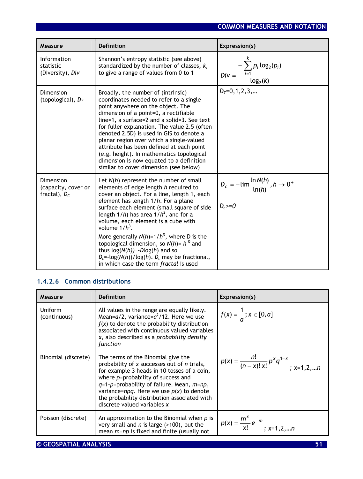| Measure                                             | <b>Definition</b>                                                                                                                                                                                                                                                                                                                                                                                                                                                                                                                                                          | Expression(s)                                                 |
|-----------------------------------------------------|----------------------------------------------------------------------------------------------------------------------------------------------------------------------------------------------------------------------------------------------------------------------------------------------------------------------------------------------------------------------------------------------------------------------------------------------------------------------------------------------------------------------------------------------------------------------------|---------------------------------------------------------------|
| Information<br>statistic<br>(Diversity), Div        | Shannon's entropy statistic (see above)<br>standardized by the number of classes, $k$ ,<br>to give a range of values from 0 to 1                                                                                                                                                                                                                                                                                                                                                                                                                                           | $Div = \frac{-\sum_{i=1}^{n} p_i \log_2(p_i)}{\log_2(k)}$     |
| Dimension<br>(topological), $D_T$                   | Broadly, the number of (intrinsic)<br>coordinates needed to refer to a single<br>point anywhere on the object. The<br>dimension of a point=0, a rectifiable<br>line=1, a surface=2 and a solid=3. See text<br>for fuller explanation. The value 2.5 (often<br>denoted 2.5D) is used in GIS to denote a<br>planar region over which a single-valued<br>attribute has been defined at each point<br>(e.g. height). In mathematics topological<br>dimension is now equated to a definition<br>similar to cover dimension (see below)                                          | $D_T=0, 1, 2, 3, $                                            |
| Dimension<br>(capacity, cover or<br>fractal), $D_c$ | Let $N(h)$ represent the number of small<br>elements of edge length h required to<br>cover an object. For a line, length 1, each<br>element has length $1/h$ . For a plane<br>surface each element (small square of side<br>length $1/h$ ) has area $1/h^2$ , and for a<br>volume, each element is a cube with<br>volume $1/h^3$ .<br>More generally $N(h)=1/h^D$ , where D is the<br>topological dimension, so $N(h)$ = $h^{-D}$ and<br>thus $log(N(h)) = Dlog(h)$ and so<br>$D_c$ =-log(N(h))/log(h). $D_c$ may be fractional,<br>in which case the term fractal is used | $D_c = -\lim \frac{\ln N(h)}{\ln(h)}, h \to 0^+$<br>$D_c$ >=0 |

#### **1.4.2.6 Common distributions**

| Measure                 | <b>Definition</b>                                                                                                                                                                                                                                                                                                                                         | Expression(s)                                          |
|-------------------------|-----------------------------------------------------------------------------------------------------------------------------------------------------------------------------------------------------------------------------------------------------------------------------------------------------------------------------------------------------------|--------------------------------------------------------|
| Uniform<br>(continuous) | All values in the range are equally likely.<br>Mean= $a/2$ , variance= $a^2/12$ . Here we use<br>$f(x)$ to denote the probability distribution<br>associated with continuous valued variables<br>x, also described as a probability density<br>function                                                                                                   | $f(x) = \frac{1}{a}$ ; $x \in [0, a]$                  |
| Binomial (discrete)     | The terms of the Binomial give the<br>probability of x successes out of n trials,<br>for example 3 heads in 10 tosses of a coin,<br>where $p$ =probability of success and<br>$q=1-p$ =probability of failure. Mean, $m=np$ ,<br>variance=npq. Here we use $p(x)$ to denote<br>the probability distribution associated with<br>discrete valued variables x | $p(x) = {n! \over (n-x)! x!} p^x q^{1-x}$<br>$x=1,2,n$ |
| Poisson (discrete)      | An approximation to the Binomial when p is<br>very small and $n$ is large (>100), but the<br>mean m=np is fixed and finite (usually not                                                                                                                                                                                                                   | $p(x) = \frac{m^x}{x!} e^{-m}$<br>: $x=1,2,,n$         |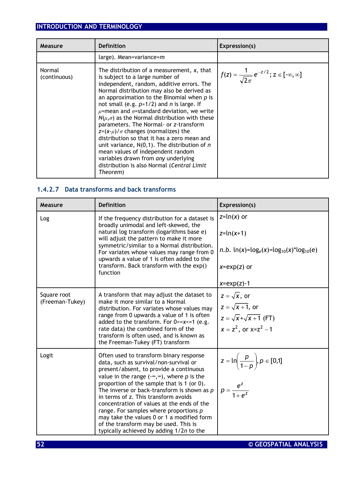#### **INTRODUCTION AND TERMINOLOGY**

| Measure                | <b>Definition</b>                                                                                                                                                                                                                                                                                                                                                                                                                                                                                                                                                                                                                                                                                                                           | <b>Expression(s)</b>                                            |
|------------------------|---------------------------------------------------------------------------------------------------------------------------------------------------------------------------------------------------------------------------------------------------------------------------------------------------------------------------------------------------------------------------------------------------------------------------------------------------------------------------------------------------------------------------------------------------------------------------------------------------------------------------------------------------------------------------------------------------------------------------------------------|-----------------------------------------------------------------|
|                        | large). Mean=variance=m                                                                                                                                                                                                                                                                                                                                                                                                                                                                                                                                                                                                                                                                                                                     |                                                                 |
| Normal<br>(continuous) | The distribution of a measurement, x, that<br>is subject to a large number of<br>independent, random, additive errors. The<br>Normal distribution may also be derived as<br>an approximation to the Binomial when $p$ is<br>not small (e.g. $p \approx 1/2$ ) and <i>n</i> is large. If<br>$\mu$ =mean and $\sigma$ =standard deviation, we write<br>$N(\mu,\sigma)$ as the Normal distribution with these<br>parameters. The Normal- or z-transform<br>$z=(x-\mu)/\sigma$ changes (normalizes) the<br>distribution so that it has a zero mean and<br>unit variance, $N(0,1)$ . The distribution of n<br>mean values of independent random<br>variables drawn from any underlying<br>distribution is also Normal (Central Limit<br>Theorem) | $f(z) = \frac{1}{\sqrt{2\pi}}e^{-z/2}; z \in [-\infty, \infty]$ |

#### **1.4.2.7 Data transforms and back transforms**

|                                | distribution so that it has a zero mean and<br>unit variance, $N(0,1)$ . The distribution of n<br>mean values of independent random<br>variables drawn from any underlying<br>distribution is also Normal (Central Limit<br>Theorem)                                                                                                                                                                                                                                                                                                                        |                                                                                                                    |
|--------------------------------|-------------------------------------------------------------------------------------------------------------------------------------------------------------------------------------------------------------------------------------------------------------------------------------------------------------------------------------------------------------------------------------------------------------------------------------------------------------------------------------------------------------------------------------------------------------|--------------------------------------------------------------------------------------------------------------------|
| 1, 4, 2, 7                     | Data transforms and back transforms                                                                                                                                                                                                                                                                                                                                                                                                                                                                                                                         |                                                                                                                    |
| Measure                        | <b>Definition</b>                                                                                                                                                                                                                                                                                                                                                                                                                                                                                                                                           | Expression(s)                                                                                                      |
| Log                            | If the frequency distribution for a dataset is<br>broadly unimodal and left-skewed, the<br>natural log transform (logarithms base e)                                                                                                                                                                                                                                                                                                                                                                                                                        | $z=ln(x)$ or<br>$z=ln(x+1)$                                                                                        |
|                                | will adjust the pattern to make it more<br>symmetric/similar to a Normal distribution.<br>For variates whose values may range from 0<br>upwards a value of 1 is often added to the<br>transform. Back transform with the exp()<br>function                                                                                                                                                                                                                                                                                                                  | <i>n.b.</i> $ln(x) = log_e(x) = log_{10}(x) * log_{10}(e)$<br>$x=exp(z)$ or                                        |
|                                |                                                                                                                                                                                                                                                                                                                                                                                                                                                                                                                                                             | $x=exp(z)-1$                                                                                                       |
| Square root<br>(Freeman-Tukey) | A transform that may adjust the dataset to<br>make it more similar to a Normal<br>distribution. For variates whose values may<br>range from 0 upwards a value of 1 is often<br>added to the transform. For $0 < x < -1$ (e.g.<br>rate data) the combined form of the<br>transform is often used, and is known as<br>the Freeman-Tukey (FT) transform                                                                                                                                                                                                        | $z = \sqrt{x}$ , or<br>$z = \sqrt{x+1}$ , or<br>$z = \sqrt{x} + \sqrt{x + 1}$ (FT)<br>$x = z^2$ , or $x = z^2 - 1$ |
| Logit                          | Often used to transform binary response<br>data, such as survival/non-survival or<br>present/absent, to provide a continuous<br>value in the range $(-\infty, \infty)$ , where p is the<br>proportion of the sample that is 1 (or 0).<br>The inverse or back-transform is shown as $p$<br>in terms of z. This transform avoids<br>concentration of values at the ends of the<br>range. For samples where proportions $p$<br>may take the values 0 or 1 a modified form<br>of the transform may be used. This is<br>typically achieved by adding 1/2n to the | $z = \ln\left(\frac{p}{1-p}\right), p \in [0,1]$<br>$p = \frac{e^z}{1 + e^z}$                                      |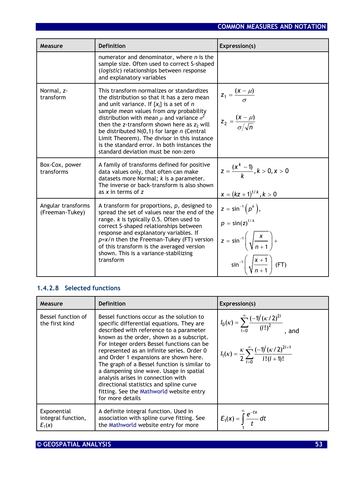| <b>Measure</b>                        | <b>Definition</b>                                                                                                                                                                                                                                                                                                                                                                                                                                                                    | Expression(s)                                                                                                                                             |
|---------------------------------------|--------------------------------------------------------------------------------------------------------------------------------------------------------------------------------------------------------------------------------------------------------------------------------------------------------------------------------------------------------------------------------------------------------------------------------------------------------------------------------------|-----------------------------------------------------------------------------------------------------------------------------------------------------------|
|                                       | numerator and denominator, where $n$ is the<br>sample size. Often used to correct S-shaped<br>( <i>logistic</i> ) relationships between response<br>and explanatory variables                                                                                                                                                                                                                                                                                                        |                                                                                                                                                           |
| Normal, z-<br>transform               | This transform normalizes or standardizes<br>the distribution so that it has a zero mean<br>and unit variance. If $\{x_i\}$ is a set of n<br>sample mean values from any probability<br>distribution with mean $\mu$ and variance $\sigma^2$<br>then the z-transform shown here as $z_2$ will<br>be distributed $N(0,1)$ for large n (Central<br>Limit Theorem). The divisor in this instance<br>is the standard error. In both instances the<br>standard deviation must be non-zero | $z_1 = \frac{(x - \mu)}{\sigma}$<br>$z_2 = \frac{(x - \mu)}{\sigma/\sqrt{n}}$                                                                             |
| Box-Cox, power<br>transforms          | A family of transforms defined for positive<br>data values only, that often can make<br>datasets more Normal; k is a parameter.<br>The inverse or back-transform is also shown<br>as x in terms of z                                                                                                                                                                                                                                                                                 | $Z = \frac{(x^k - 1)}{k}, k > 0, x > 0$<br>$x = (kz + 1)^{1/k}, k > 0$                                                                                    |
| Angular transforms<br>(Freeman-Tukey) | A transform for proportions, $p$ , designed to<br>spread the set of values near the end of the<br>range. $k$ is typically 0.5. Often used to<br>correct S-shaped relationships between<br>response and explanatory variables. If<br>p=x/n then the Freeman-Tukey (FT) version<br>of this transform is the averaged version<br>shown. This is a variance-stabilizing<br>transform                                                                                                     | $z = \sin^{-1}(p^k),$<br>$p = \sin(z)^{1/k}$<br>$z = \sin^{-1}\left(\sqrt{\frac{x}{n+1}}\right) +$<br>$\sin^{-1}\left(\sqrt{\frac{x+1}{x+1}}\right)$ (FT) |
| 1.4.2.8 Selected functions            |                                                                                                                                                                                                                                                                                                                                                                                                                                                                                      |                                                                                                                                                           |
| Measure                               | <b>Definition</b>                                                                                                                                                                                                                                                                                                                                                                                                                                                                    | Expression(s)                                                                                                                                             |
| Bessel function of<br>the first kind  | Bessel functions occur as the solution to<br>specific differential equations. They are<br>described with reference to a parameter<br>known as the order, shown as a subscript.                                                                                                                                                                                                                                                                                                       | $I_0(\kappa) = \sum_{i=0}^{\infty} \frac{(-1)^i (\kappa/2)^{2i}}{(i!)^2}$ , and                                                                           |
|                                       | For integer orders Bessel functions can be<br>represented as an infinite series. Order 0<br>and Order 1 expansions are shown here.<br>The graph of a Bessel function is similar to<br>a dampening sine wave. Usage in spatial                                                                                                                                                                                                                                                        | $l_1(\kappa) = \frac{\kappa}{2} \sum_{i=0}^{\infty} \frac{(-1)^i (\kappa/2)^{2i+1}}{i!(i+1)!}$                                                            |

#### **1.4.2.8 Selected functions**

|                                               | as $x$ in terms of $z$                                                                                                                                                                                                                                                                                                                                                                                                                                                                                                                                           | $x = (kz + 1)^{1/k}, k > 0$                                                                                                                                                 |
|-----------------------------------------------|------------------------------------------------------------------------------------------------------------------------------------------------------------------------------------------------------------------------------------------------------------------------------------------------------------------------------------------------------------------------------------------------------------------------------------------------------------------------------------------------------------------------------------------------------------------|-----------------------------------------------------------------------------------------------------------------------------------------------------------------------------|
| Angular transforms<br>(Freeman-Tukey)         | A transform for proportions, $p$ , designed to<br>spread the set of values near the end of the<br>range. k is typically 0.5. Often used to<br>correct S-shaped relationships between<br>response and explanatory variables. If<br>$p=x/n$ then the Freeman-Tukey (FT) version<br>of this transform is the averaged version<br>shown. This is a variance-stabilizing<br>transform                                                                                                                                                                                 | $z = \sin^{-1}(p^k),$<br>$p = \sin(z)^{1/k}$<br>$z = \sin^{-1}\left(\sqrt{\frac{x}{n+1}}\right) +$<br>$\sin^{-1}\left(\sqrt{\frac{x+1}{n+1}}\right)$ (FT)                   |
| 1.4.2.8 Selected functions                    |                                                                                                                                                                                                                                                                                                                                                                                                                                                                                                                                                                  |                                                                                                                                                                             |
| Measure                                       | <b>Definition</b>                                                                                                                                                                                                                                                                                                                                                                                                                                                                                                                                                | Expression(s)                                                                                                                                                               |
| Bessel function of<br>the first kind          | Bessel functions occur as the solution to<br>specific differential equations. They are<br>described with reference to a parameter<br>known as the order, shown as a subscript.<br>For integer orders Bessel functions can be<br>represented as an infinite series. Order 0<br>and Order 1 expansions are shown here.<br>The graph of a Bessel function is similar to<br>a dampening sine wave. Usage in spatial<br>analysis arises in connection with<br>directional statistics and spline curve<br>fitting. See the Mathworld website entry<br>for more details | $l_0(\kappa) = \sum_{i=0}^{\infty} \frac{(-1)^i (\kappa/2)^{2i}}{(i!)^2}$<br>$I_1(\kappa) = \frac{\kappa}{2} \sum_{i=0}^{\infty} \frac{(-1)^i (\kappa/2)^{2i+1}}{i!(i+1)!}$ |
| Exponential<br>integral function,<br>$E_1(x)$ | A definite integral function. Used in<br>association with spline curve fitting. See<br>the Mathworld website entry for more                                                                                                                                                                                                                                                                                                                                                                                                                                      | $E_1(x) = \int_{0}^{\infty} \frac{e^{-tx}}{t} dt$                                                                                                                           |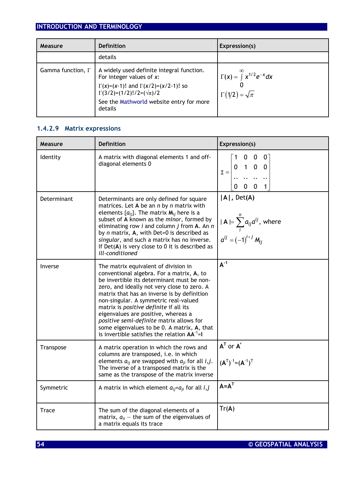#### **INTRODUCTION AND TERMINOLOGY**

| <b>INTRODUCTION AND TERMINOLOGY</b> |                                                                                                                                                                                                                              |                                                                                                                                       |
|-------------------------------------|------------------------------------------------------------------------------------------------------------------------------------------------------------------------------------------------------------------------------|---------------------------------------------------------------------------------------------------------------------------------------|
| Measure                             | Definition                                                                                                                                                                                                                   | Expression(s)                                                                                                                         |
|                                     | details                                                                                                                                                                                                                      |                                                                                                                                       |
| Gamma function, $\Gamma$            | A widely used definite integral function.<br>For integer values of $x$ :<br>$\Gamma(x)=(x-1)!$ and $\Gamma(x/2)=(x/2-1)!$ so<br>$\Gamma(3/2)=(1/2)!/2=(\sqrt{\pi})/2$<br>See the Mathworld website entry for more<br>details | $\infty$<br>$\Gamma(x) = \int x^{1/2} e^{-x} dx$<br>$\mathbf{0}$<br>$\Gamma(1/2) = \sqrt{\pi}$                                        |
| 1.4.2.9 Matrix expressions          |                                                                                                                                                                                                                              |                                                                                                                                       |
| Measure                             | <b>Definition</b>                                                                                                                                                                                                            | <b>Expression(s)</b>                                                                                                                  |
| Identity                            | A matrix with diagonal elements 1 and off-<br>diagonal elements 0                                                                                                                                                            | 0<br>$0-$<br>0<br>1<br>$\mathbf 0$<br>0<br>$\mathbf{0}$<br>$\mathbf 1$<br>$I =$<br>$\bullet\,\bullet$<br>0 <sub>1</sub><br>$0\quad 0$ |
| Determinant                         | Determinants are only defined for square<br>matrices. Let $A$ be an $n$ by $n$ matrix with<br>elements $\{a_{ij}\}\$ . The matrix $M_{ij}$ here is a                                                                         | $ A $ , Det(A)                                                                                                                        |

#### **1.4.2.9 Matrix expressions**

| Measure                    | Definition                                                                                                                                                                                                                                                                                                                                                                                                                                                                                             | Expression(s)                                                                                                                   |
|----------------------------|--------------------------------------------------------------------------------------------------------------------------------------------------------------------------------------------------------------------------------------------------------------------------------------------------------------------------------------------------------------------------------------------------------------------------------------------------------------------------------------------------------|---------------------------------------------------------------------------------------------------------------------------------|
|                            | details                                                                                                                                                                                                                                                                                                                                                                                                                                                                                                |                                                                                                                                 |
| Gamma function, $\Gamma$   | A widely used definite integral function.<br>For integer values of $x$ :<br>$\Gamma(x) = (x-1)!$ and $\Gamma(x/2) = (x/2-1)!$ so<br>$\Gamma(3/2)=(1/2)!/2=(\sqrt{\pi})/2$<br>See the Mathworld website entry for more<br>details                                                                                                                                                                                                                                                                       | $\Gamma(x) = \int_{0}^{\infty} x^{1/2} e^{-x} dx$<br>$\Gamma(1/2) = \sqrt{\pi}$                                                 |
| 1.4.2.9 Matrix expressions |                                                                                                                                                                                                                                                                                                                                                                                                                                                                                                        |                                                                                                                                 |
| Measure                    | <b>Definition</b>                                                                                                                                                                                                                                                                                                                                                                                                                                                                                      | Expression(s)                                                                                                                   |
| Identity                   | A matrix with diagonal elements 1 and off-<br>diagonal elements 0                                                                                                                                                                                                                                                                                                                                                                                                                                      | $0\quad 0^-$<br>$\overline{0}$<br>$\mathbf{1}$<br>$0\quad 0$<br>$\mathbf 0$<br>$\overline{1}$<br>$\bar{I} =$<br>$0 \t0 \t0 \t1$ |
| Determinant                | Determinants are only defined for square<br>matrices. Let $A$ be an $n$ by $n$ matrix with<br>elements $\{a_{ij}\}\$ . The matrix $M_{ij}$ here is a<br>subset of A known as the minor, formed by<br>eliminating row $i$ and column $j$ from $A$ . An $n$<br>by $n$ matrix, $A$ , with Det=0 is described as<br>singular, and such a matrix has no inverse.<br>If $Det(A)$ is very close to 0 it is described as<br>ill-conditioned                                                                    | $ A $ , Det $(A)$<br>$ A  = \sum_{j}^{n} a_{ij} a^{ij}$ , where<br>$a^{ij} = (-1)^{i+j} M_{ij}$                                 |
| Inverse                    | The matrix equivalent of division in<br>conventional algebra. For a matrix, A, to<br>be invertible its determinant must be non-<br>zero, and ideally not very close to zero. A<br>matrix that has an inverse is by definition<br>non-singular. A symmetric real-valued<br>matrix is positive definite if all its<br>eigenvalues are positive, whereas a<br>positive semi-definite matrix allows for<br>some eigenvalues to be 0. A matrix, A, that<br>is invertible satisfies the relation $AA^{-1}$ = | $A^{-1}$                                                                                                                        |
| Transpose                  | A matrix operation in which the rows and<br>columns are transposed, i.e. in which<br>elements $a_{ij}$ are swapped with $a_{ji}$ for all <i>i</i> , <i>j</i> .<br>The inverse of a transposed matrix is the<br>same as the transpose of the matrix inverse                                                                                                                                                                                                                                             | $A^T$ or $A'$<br>$(A^{T})^{-1} = (A^{-1})^{T}$                                                                                  |
| Symmetric                  | A matrix in which element $a_{ij} = a_{ji}$ for all <i>i</i> , <i>j</i>                                                                                                                                                                                                                                                                                                                                                                                                                                | $A = A^T$                                                                                                                       |
| Trace                      | The sum of the diagonal elements of a<br>matrix, $a_{ii}$ – the sum of the eigenvalues of<br>a matrix equals its trace                                                                                                                                                                                                                                                                                                                                                                                 | Tr(A)                                                                                                                           |